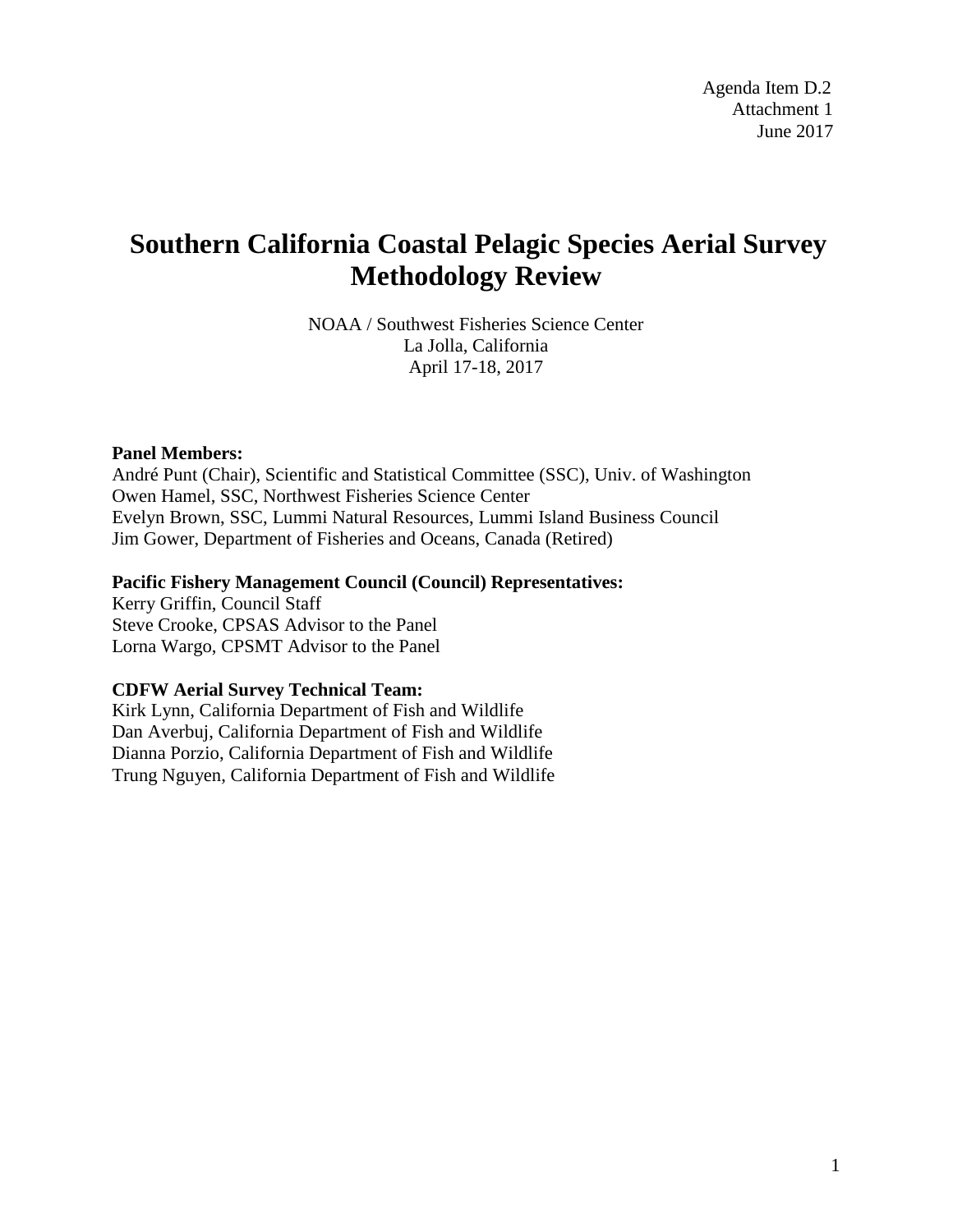# **Southern California Coastal Pelagic Species Aerial Survey Methodology Review**

NOAA / Southwest Fisheries Science Center La Jolla, California April 17-18, 2017

#### **Panel Members:**

André Punt (Chair), Scientific and Statistical Committee (SSC), Univ. of Washington Owen Hamel, SSC, Northwest Fisheries Science Center Evelyn Brown, SSC, Lummi Natural Resources, Lummi Island Business Council Jim Gower, Department of Fisheries and Oceans, Canada (Retired)

#### **Pacific Fishery Management Council (Council) Representatives:**

Kerry Griffin, Council Staff Steve Crooke, CPSAS Advisor to the Panel Lorna Wargo, CPSMT Advisor to the Panel

#### **CDFW Aerial Survey Technical Team:**

Kirk Lynn, California Department of Fish and Wildlife Dan Averbuj, California Department of Fish and Wildlife Dianna Porzio, California Department of Fish and Wildlife Trung Nguyen, California Department of Fish and Wildlife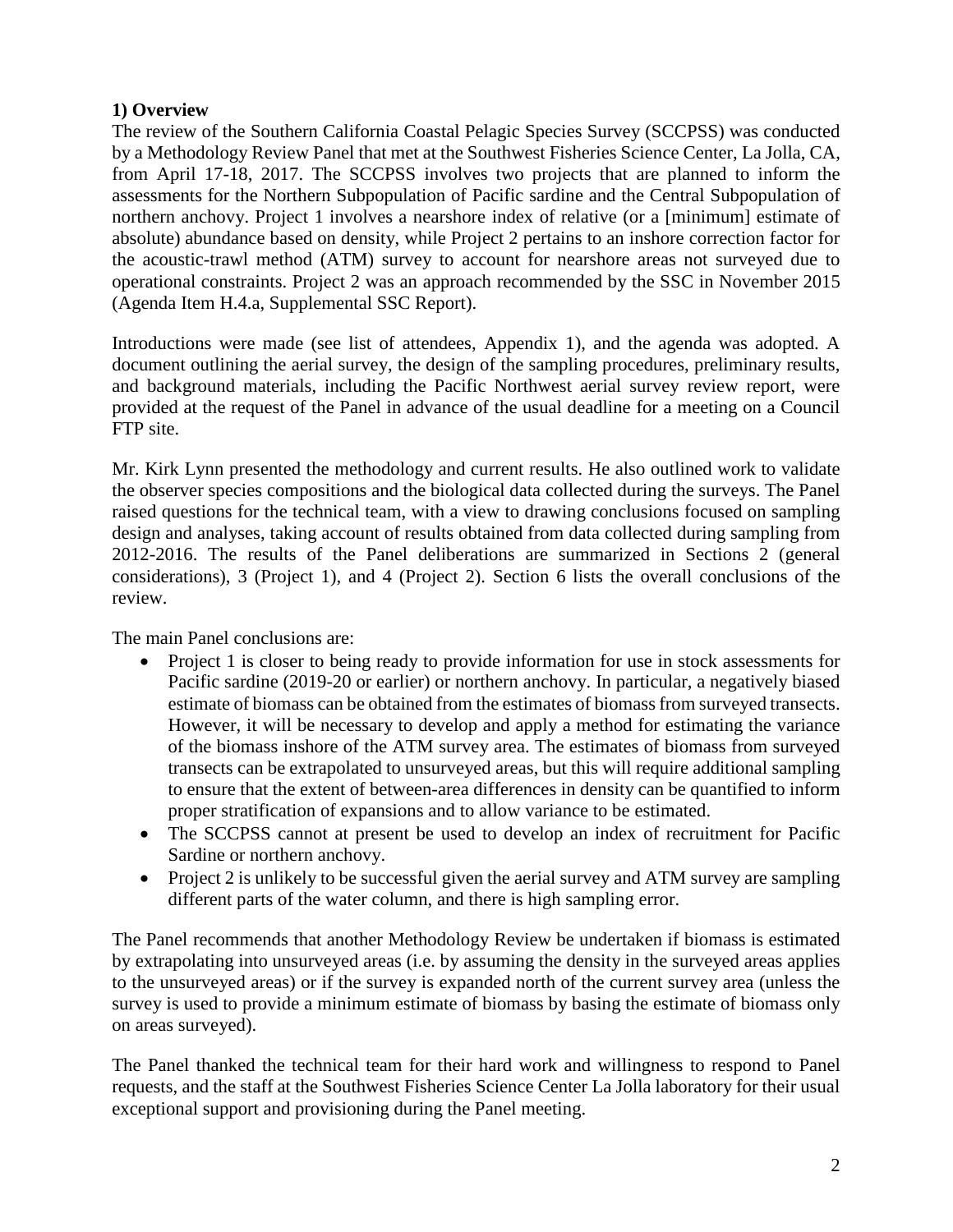# **1) Overview**

The review of the Southern California Coastal Pelagic Species Survey (SCCPSS) was conducted by a Methodology Review Panel that met at the Southwest Fisheries Science Center, La Jolla, CA, from April 17-18, 2017. The SCCPSS involves two projects that are planned to inform the assessments for the Northern Subpopulation of Pacific sardine and the Central Subpopulation of northern anchovy. Project 1 involves a nearshore index of relative (or a [minimum] estimate of absolute) abundance based on density, while Project 2 pertains to an inshore correction factor for the acoustic-trawl method (ATM) survey to account for nearshore areas not surveyed due to operational constraints. Project 2 was an approach recommended by the SSC in November 2015 (Agenda Item H.4.a, Supplemental SSC Report).

Introductions were made (see list of attendees, Appendix 1), and the agenda was adopted. A document outlining the aerial survey, the design of the sampling procedures, preliminary results, and background materials, including the Pacific Northwest aerial survey review report, were provided at the request of the Panel in advance of the usual deadline for a meeting on a Council FTP site.

Mr. Kirk Lynn presented the methodology and current results. He also outlined work to validate the observer species compositions and the biological data collected during the surveys. The Panel raised questions for the technical team, with a view to drawing conclusions focused on sampling design and analyses, taking account of results obtained from data collected during sampling from 2012-2016. The results of the Panel deliberations are summarized in Sections 2 (general considerations), 3 (Project 1), and 4 (Project 2). Section 6 lists the overall conclusions of the review.

The main Panel conclusions are:

- Project 1 is closer to being ready to provide information for use in stock assessments for Pacific sardine (2019-20 or earlier) or northern anchovy. In particular, a negatively biased estimate of biomass can be obtained from the estimates of biomass from surveyed transects. However, it will be necessary to develop and apply a method for estimating the variance of the biomass inshore of the ATM survey area. The estimates of biomass from surveyed transects can be extrapolated to unsurveyed areas, but this will require additional sampling to ensure that the extent of between-area differences in density can be quantified to inform proper stratification of expansions and to allow variance to be estimated.
- The SCCPSS cannot at present be used to develop an index of recruitment for Pacific Sardine or northern anchovy.
- Project 2 is unlikely to be successful given the aerial survey and ATM survey are sampling different parts of the water column, and there is high sampling error.

The Panel recommends that another Methodology Review be undertaken if biomass is estimated by extrapolating into unsurveyed areas (i.e. by assuming the density in the surveyed areas applies to the unsurveyed areas) or if the survey is expanded north of the current survey area (unless the survey is used to provide a minimum estimate of biomass by basing the estimate of biomass only on areas surveyed).

The Panel thanked the technical team for their hard work and willingness to respond to Panel requests, and the staff at the Southwest Fisheries Science Center La Jolla laboratory for their usual exceptional support and provisioning during the Panel meeting.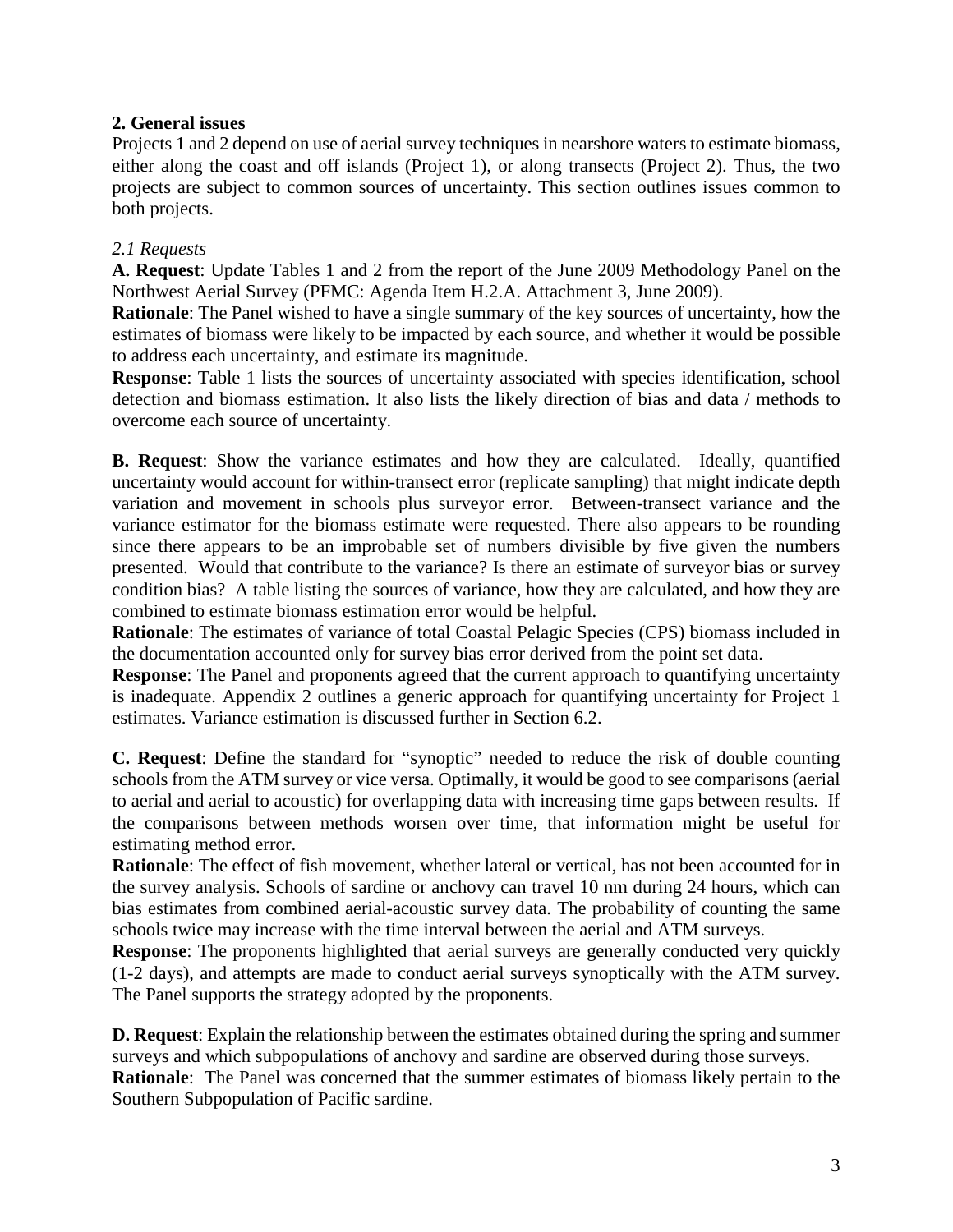# **2. General issues**

Projects 1 and 2 depend on use of aerial survey techniques in nearshore waters to estimate biomass, either along the coast and off islands (Project 1), or along transects (Project 2). Thus, the two projects are subject to common sources of uncertainty. This section outlines issues common to both projects.

# *2.1 Requests*

**A. Request**: Update Tables 1 and 2 from the report of the June 2009 Methodology Panel on the Northwest Aerial Survey (PFMC: Agenda Item H.2.A. Attachment 3, June 2009).

**Rationale**: The Panel wished to have a single summary of the key sources of uncertainty, how the estimates of biomass were likely to be impacted by each source, and whether it would be possible to address each uncertainty, and estimate its magnitude.

**Response:** Table 1 lists the sources of uncertainty associated with species identification, school detection and biomass estimation. It also lists the likely direction of bias and data / methods to overcome each source of uncertainty.

**B. Request**: Show the variance estimates and how they are calculated. Ideally, quantified uncertainty would account for within-transect error (replicate sampling) that might indicate depth variation and movement in schools plus surveyor error. Between-transect variance and the variance estimator for the biomass estimate were requested. There also appears to be rounding since there appears to be an improbable set of numbers divisible by five given the numbers presented. Would that contribute to the variance? Is there an estimate of surveyor bias or survey condition bias? A table listing the sources of variance, how they are calculated, and how they are combined to estimate biomass estimation error would be helpful.

**Rationale**: The estimates of variance of total Coastal Pelagic Species (CPS) biomass included in the documentation accounted only for survey bias error derived from the point set data.

**Response**: The Panel and proponents agreed that the current approach to quantifying uncertainty is inadequate. Appendix 2 outlines a generic approach for quantifying uncertainty for Project 1 estimates. Variance estimation is discussed further in Section 6.2.

**C. Request**: Define the standard for "synoptic" needed to reduce the risk of double counting schools from the ATM survey or vice versa. Optimally, it would be good to see comparisons (aerial to aerial and aerial to acoustic) for overlapping data with increasing time gaps between results. If the comparisons between methods worsen over time, that information might be useful for estimating method error.

**Rationale**: The effect of fish movement, whether lateral or vertical, has not been accounted for in the survey analysis. Schools of sardine or anchovy can travel 10 nm during 24 hours, which can bias estimates from combined aerial-acoustic survey data. The probability of counting the same schools twice may increase with the time interval between the aerial and ATM surveys.

**Response**: The proponents highlighted that aerial surveys are generally conducted very quickly (1-2 days), and attempts are made to conduct aerial surveys synoptically with the ATM survey. The Panel supports the strategy adopted by the proponents.

**D. Request**: Explain the relationship between the estimates obtained during the spring and summer surveys and which subpopulations of anchovy and sardine are observed during those surveys. **Rationale**: The Panel was concerned that the summer estimates of biomass likely pertain to the Southern Subpopulation of Pacific sardine.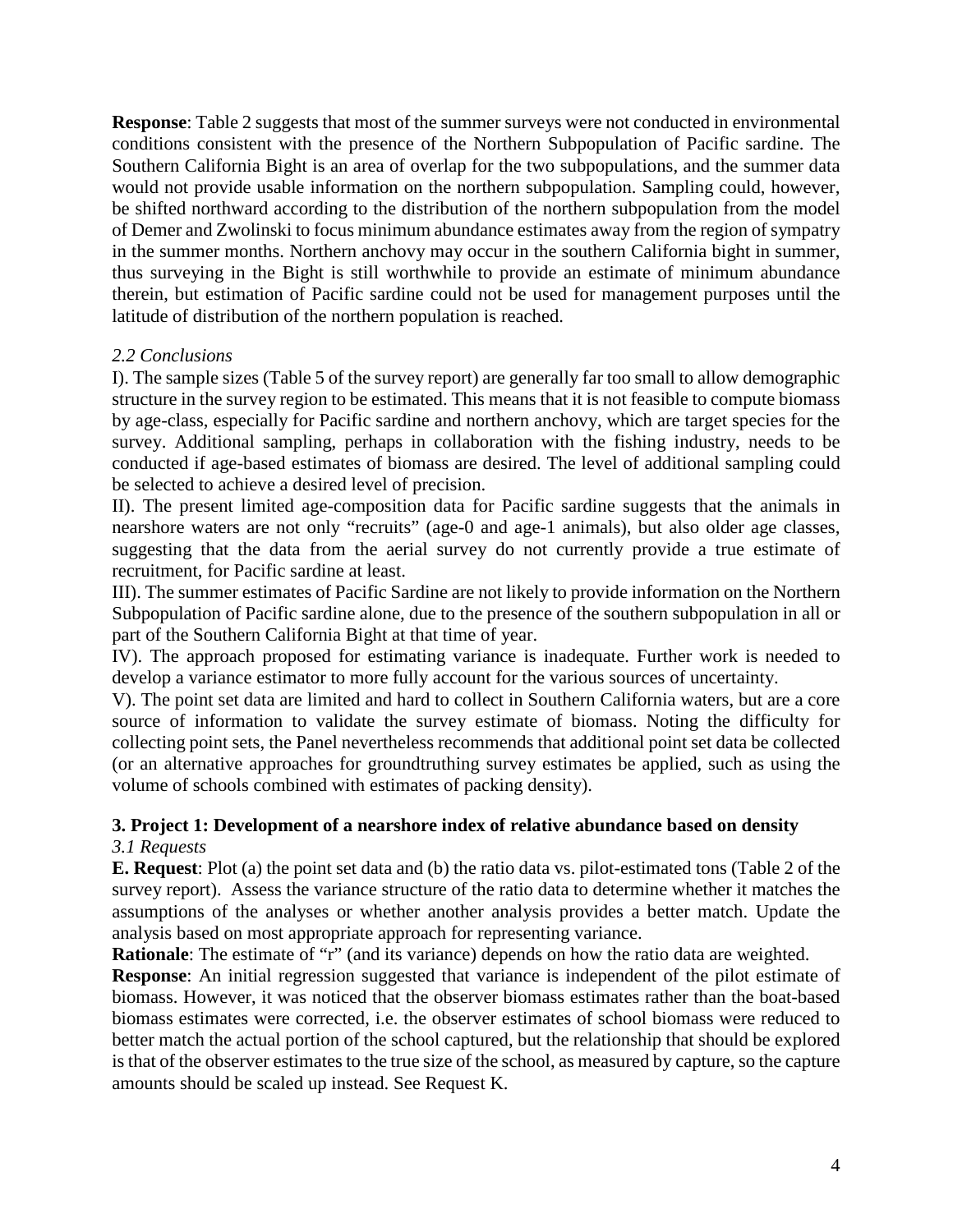**Response**: Table 2 suggests that most of the summer surveys were not conducted in environmental conditions consistent with the presence of the Northern Subpopulation of Pacific sardine. The Southern California Bight is an area of overlap for the two subpopulations, and the summer data would not provide usable information on the northern subpopulation. Sampling could, however, be shifted northward according to the distribution of the northern subpopulation from the model of Demer and Zwolinski to focus minimum abundance estimates away from the region of sympatry in the summer months. Northern anchovy may occur in the southern California bight in summer, thus surveying in the Bight is still worthwhile to provide an estimate of minimum abundance therein, but estimation of Pacific sardine could not be used for management purposes until the latitude of distribution of the northern population is reached.

# *2.2 Conclusions*

I). The sample sizes (Table 5 of the survey report) are generally far too small to allow demographic structure in the survey region to be estimated. This means that it is not feasible to compute biomass by age-class, especially for Pacific sardine and northern anchovy, which are target species for the survey. Additional sampling, perhaps in collaboration with the fishing industry, needs to be conducted if age-based estimates of biomass are desired. The level of additional sampling could be selected to achieve a desired level of precision.

II). The present limited age-composition data for Pacific sardine suggests that the animals in nearshore waters are not only "recruits" (age-0 and age-1 animals), but also older age classes, suggesting that the data from the aerial survey do not currently provide a true estimate of recruitment, for Pacific sardine at least.

III). The summer estimates of Pacific Sardine are not likely to provide information on the Northern Subpopulation of Pacific sardine alone, due to the presence of the southern subpopulation in all or part of the Southern California Bight at that time of year.

IV). The approach proposed for estimating variance is inadequate. Further work is needed to develop a variance estimator to more fully account for the various sources of uncertainty.

V). The point set data are limited and hard to collect in Southern California waters, but are a core source of information to validate the survey estimate of biomass. Noting the difficulty for collecting point sets, the Panel nevertheless recommends that additional point set data be collected (or an alternative approaches for groundtruthing survey estimates be applied, such as using the volume of schools combined with estimates of packing density).

# **3. Project 1: Development of a nearshore index of relative abundance based on density**

# *3.1 Requests*

**E. Request**: Plot (a) the point set data and (b) the ratio data vs. pilot-estimated tons (Table 2 of the survey report). Assess the variance structure of the ratio data to determine whether it matches the assumptions of the analyses or whether another analysis provides a better match. Update the analysis based on most appropriate approach for representing variance.

**Rationale**: The estimate of "r" (and its variance) depends on how the ratio data are weighted.

**Response**: An initial regression suggested that variance is independent of the pilot estimate of biomass. However, it was noticed that the observer biomass estimates rather than the boat-based biomass estimates were corrected, i.e. the observer estimates of school biomass were reduced to better match the actual portion of the school captured, but the relationship that should be explored is that of the observer estimates to the true size of the school, as measured by capture, so the capture amounts should be scaled up instead. See Request K.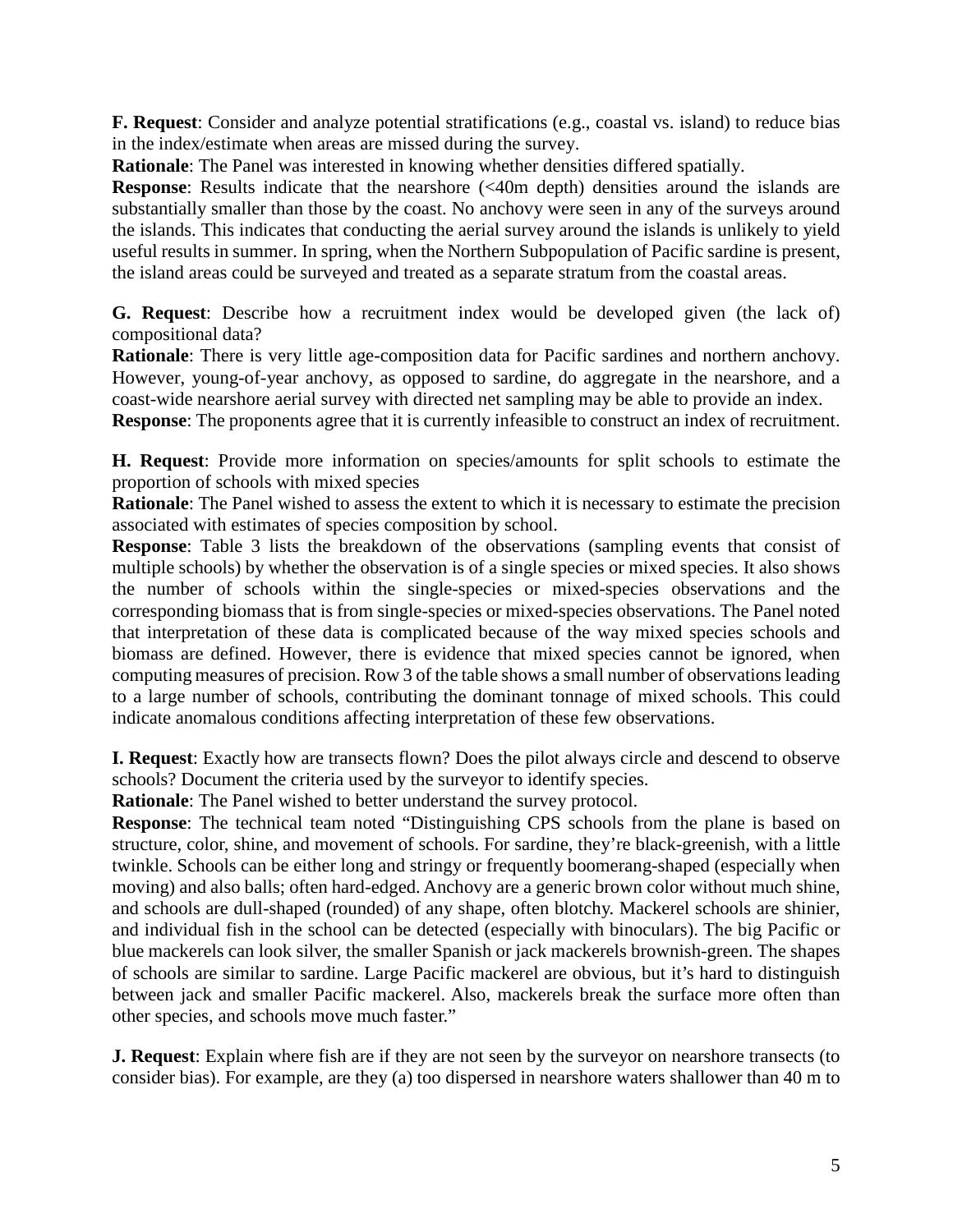**F. Request**: Consider and analyze potential stratifications (e.g., coastal vs. island) to reduce bias in the index/estimate when areas are missed during the survey.

**Rationale**: The Panel was interested in knowing whether densities differed spatially.

**Response:** Results indicate that the nearshore (<40m depth) densities around the islands are substantially smaller than those by the coast. No anchovy were seen in any of the surveys around the islands. This indicates that conducting the aerial survey around the islands is unlikely to yield useful results in summer. In spring, when the Northern Subpopulation of Pacific sardine is present, the island areas could be surveyed and treated as a separate stratum from the coastal areas.

**G. Request**: Describe how a recruitment index would be developed given (the lack of) compositional data?

**Rationale**: There is very little age-composition data for Pacific sardines and northern anchovy. However, young-of-year anchovy, as opposed to sardine, do aggregate in the nearshore, and a coast-wide nearshore aerial survey with directed net sampling may be able to provide an index.

**Response**: The proponents agree that it is currently infeasible to construct an index of recruitment.

**H. Request**: Provide more information on species/amounts for split schools to estimate the proportion of schools with mixed species

**Rationale**: The Panel wished to assess the extent to which it is necessary to estimate the precision associated with estimates of species composition by school.

**Response**: Table 3 lists the breakdown of the observations (sampling events that consist of multiple schools) by whether the observation is of a single species or mixed species. It also shows the number of schools within the single-species or mixed-species observations and the corresponding biomass that is from single-species or mixed-species observations. The Panel noted that interpretation of these data is complicated because of the way mixed species schools and biomass are defined. However, there is evidence that mixed species cannot be ignored, when computing measures of precision. Row 3 of the table shows a small number of observations leading to a large number of schools, contributing the dominant tonnage of mixed schools. This could indicate anomalous conditions affecting interpretation of these few observations.

**I. Request**: Exactly how are transects flown? Does the pilot always circle and descend to observe schools? Document the criteria used by the surveyor to identify species.

**Rationale**: The Panel wished to better understand the survey protocol.

**Response**: The technical team noted "Distinguishing CPS schools from the plane is based on structure, color, shine, and movement of schools. For sardine, they're black-greenish, with a little twinkle. Schools can be either long and stringy or frequently boomerang-shaped (especially when moving) and also balls; often hard-edged. Anchovy are a generic brown color without much shine, and schools are dull-shaped (rounded) of any shape, often blotchy. Mackerel schools are shinier, and individual fish in the school can be detected (especially with binoculars). The big Pacific or blue mackerels can look silver, the smaller Spanish or jack mackerels brownish-green. The shapes of schools are similar to sardine. Large Pacific mackerel are obvious, but it's hard to distinguish between jack and smaller Pacific mackerel. Also, mackerels break the surface more often than other species, and schools move much faster."

**J. Request**: Explain where fish are if they are not seen by the surveyor on nearshore transects (to consider bias). For example, are they (a) too dispersed in nearshore waters shallower than 40 m to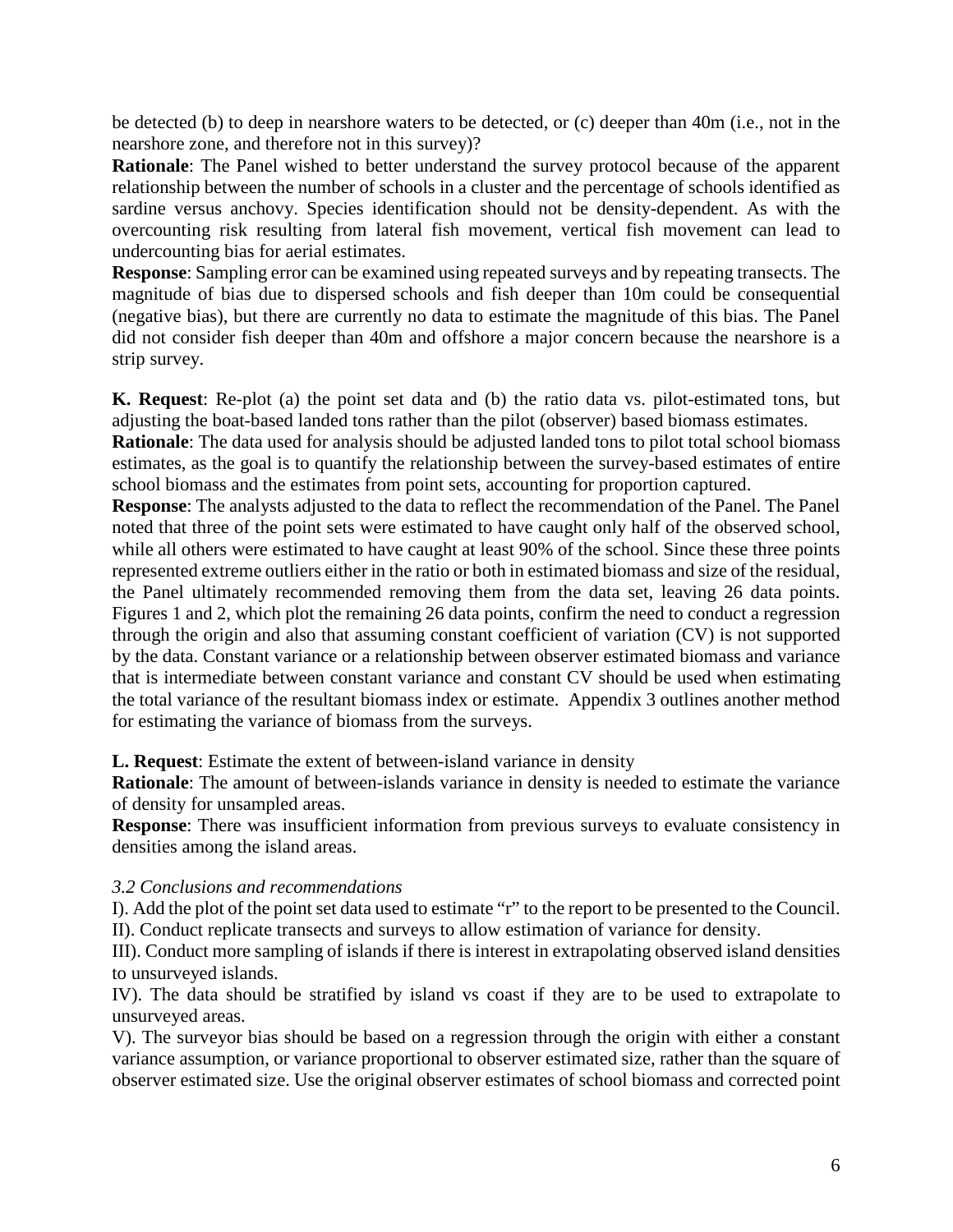be detected (b) to deep in nearshore waters to be detected, or (c) deeper than 40m (i.e., not in the nearshore zone, and therefore not in this survey)?

**Rationale**: The Panel wished to better understand the survey protocol because of the apparent relationship between the number of schools in a cluster and the percentage of schools identified as sardine versus anchovy. Species identification should not be density-dependent. As with the overcounting risk resulting from lateral fish movement, vertical fish movement can lead to undercounting bias for aerial estimates.

**Response**: Sampling error can be examined using repeated surveys and by repeating transects. The magnitude of bias due to dispersed schools and fish deeper than 10m could be consequential (negative bias), but there are currently no data to estimate the magnitude of this bias. The Panel did not consider fish deeper than 40m and offshore a major concern because the nearshore is a strip survey.

**K. Request**: Re-plot (a) the point set data and (b) the ratio data vs. pilot-estimated tons, but adjusting the boat-based landed tons rather than the pilot (observer) based biomass estimates.

**Rationale**: The data used for analysis should be adjusted landed tons to pilot total school biomass estimates, as the goal is to quantify the relationship between the survey-based estimates of entire school biomass and the estimates from point sets, accounting for proportion captured.

**Response**: The analysts adjusted to the data to reflect the recommendation of the Panel. The Panel noted that three of the point sets were estimated to have caught only half of the observed school, while all others were estimated to have caught at least 90% of the school. Since these three points represented extreme outliers either in the ratio or both in estimated biomass and size of the residual, the Panel ultimately recommended removing them from the data set, leaving 26 data points. Figures 1 and 2, which plot the remaining 26 data points, confirm the need to conduct a regression through the origin and also that assuming constant coefficient of variation (CV) is not supported by the data. Constant variance or a relationship between observer estimated biomass and variance that is intermediate between constant variance and constant CV should be used when estimating the total variance of the resultant biomass index or estimate. Appendix 3 outlines another method for estimating the variance of biomass from the surveys.

**L. Request**: Estimate the extent of between-island variance in density

**Rationale**: The amount of between-islands variance in density is needed to estimate the variance of density for unsampled areas.

**Response**: There was insufficient information from previous surveys to evaluate consistency in densities among the island areas.

#### *3.2 Conclusions and recommendations*

I). Add the plot of the point set data used to estimate "r" to the report to be presented to the Council. II). Conduct replicate transects and surveys to allow estimation of variance for density.

III). Conduct more sampling of islands if there is interest in extrapolating observed island densities to unsurveyed islands.

IV). The data should be stratified by island vs coast if they are to be used to extrapolate to unsurveyed areas.

V). The surveyor bias should be based on a regression through the origin with either a constant variance assumption, or variance proportional to observer estimated size, rather than the square of observer estimated size. Use the original observer estimates of school biomass and corrected point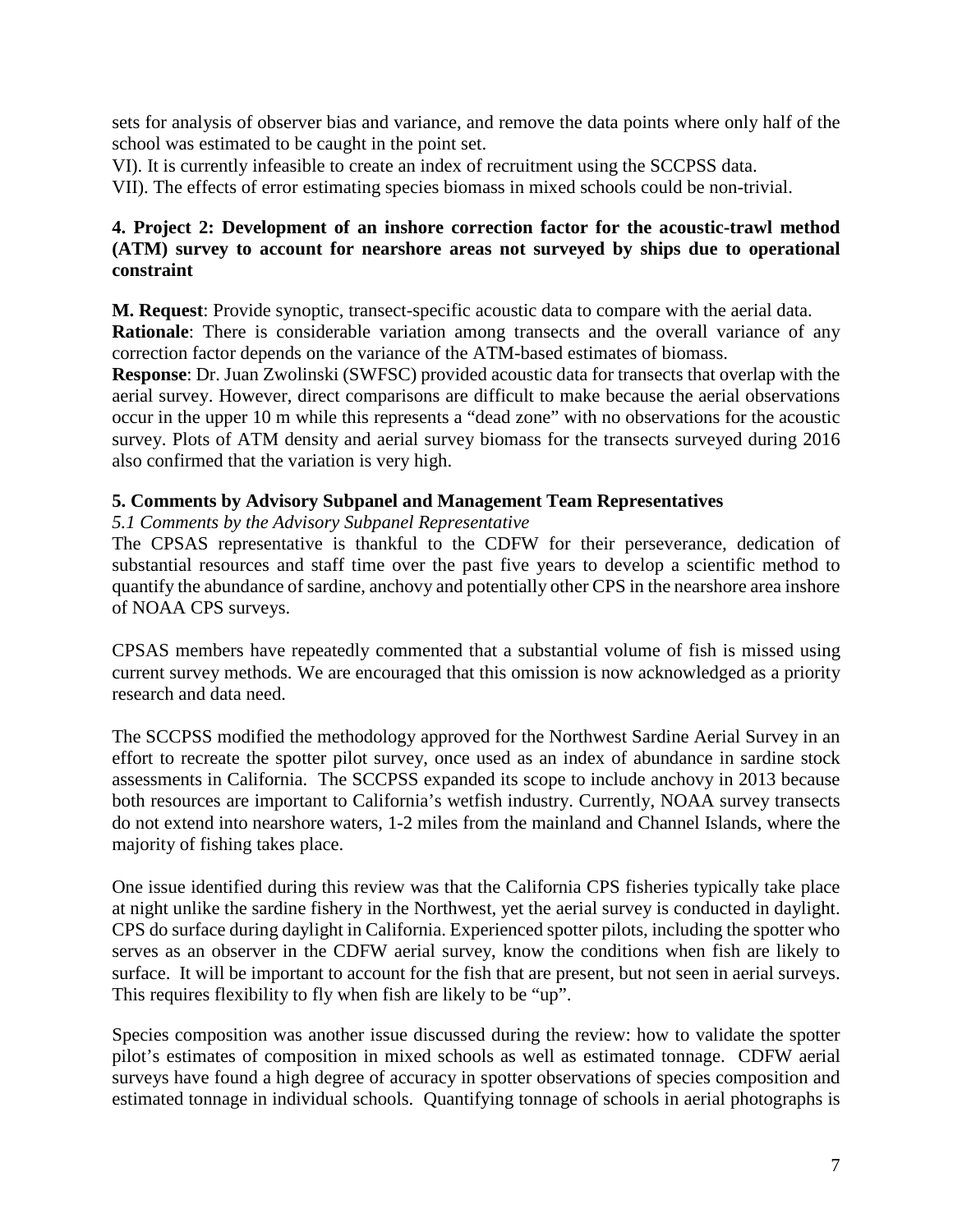sets for analysis of observer bias and variance, and remove the data points where only half of the school was estimated to be caught in the point set.

VI). It is currently infeasible to create an index of recruitment using the SCCPSS data.

VII). The effects of error estimating species biomass in mixed schools could be non-trivial.

# **4. Project 2: Development of an inshore correction factor for the acoustic-trawl method (ATM) survey to account for nearshore areas not surveyed by ships due to operational constraint**

**M. Request**: Provide synoptic, transect-specific acoustic data to compare with the aerial data.

**Rationale**: There is considerable variation among transects and the overall variance of any correction factor depends on the variance of the ATM-based estimates of biomass.

**Response**: Dr. Juan Zwolinski (SWFSC) provided acoustic data for transects that overlap with the aerial survey. However, direct comparisons are difficult to make because the aerial observations occur in the upper 10 m while this represents a "dead zone" with no observations for the acoustic survey. Plots of ATM density and aerial survey biomass for the transects surveyed during 2016 also confirmed that the variation is very high.

# **5. Comments by Advisory Subpanel and Management Team Representatives**

# *5.1 Comments by the Advisory Subpanel Representative*

The CPSAS representative is thankful to the CDFW for their perseverance, dedication of substantial resources and staff time over the past five years to develop a scientific method to quantify the abundance of sardine, anchovy and potentially other CPS in the nearshore area inshore of NOAA CPS surveys.

CPSAS members have repeatedly commented that a substantial volume of fish is missed using current survey methods. We are encouraged that this omission is now acknowledged as a priority research and data need.

The SCCPSS modified the methodology approved for the Northwest Sardine Aerial Survey in an effort to recreate the spotter pilot survey, once used as an index of abundance in sardine stock assessments in California. The SCCPSS expanded its scope to include anchovy in 2013 because both resources are important to California's wetfish industry. Currently, NOAA survey transects do not extend into nearshore waters, 1-2 miles from the mainland and Channel Islands, where the majority of fishing takes place.

One issue identified during this review was that the California CPS fisheries typically take place at night unlike the sardine fishery in the Northwest, yet the aerial survey is conducted in daylight. CPS do surface during daylight in California. Experienced spotter pilots, including the spotter who serves as an observer in the CDFW aerial survey, know the conditions when fish are likely to surface. It will be important to account for the fish that are present, but not seen in aerial surveys. This requires flexibility to fly when fish are likely to be "up".

Species composition was another issue discussed during the review: how to validate the spotter pilot's estimates of composition in mixed schools as well as estimated tonnage. CDFW aerial surveys have found a high degree of accuracy in spotter observations of species composition and estimated tonnage in individual schools. Quantifying tonnage of schools in aerial photographs is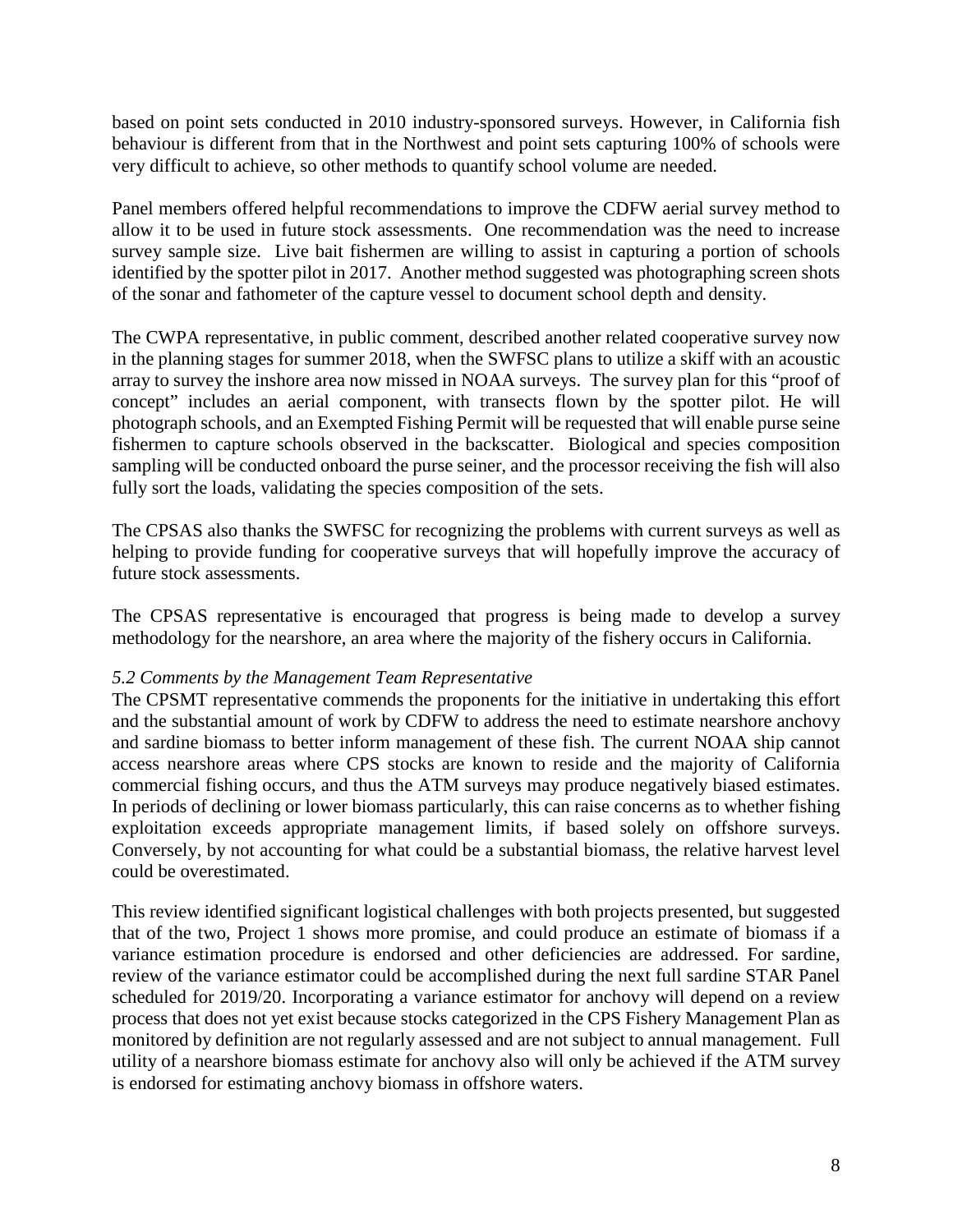based on point sets conducted in 2010 industry-sponsored surveys. However, in California fish behaviour is different from that in the Northwest and point sets capturing 100% of schools were very difficult to achieve, so other methods to quantify school volume are needed.

Panel members offered helpful recommendations to improve the CDFW aerial survey method to allow it to be used in future stock assessments. One recommendation was the need to increase survey sample size. Live bait fishermen are willing to assist in capturing a portion of schools identified by the spotter pilot in 2017. Another method suggested was photographing screen shots of the sonar and fathometer of the capture vessel to document school depth and density.

The CWPA representative, in public comment, described another related cooperative survey now in the planning stages for summer 2018, when the SWFSC plans to utilize a skiff with an acoustic array to survey the inshore area now missed in NOAA surveys. The survey plan for this "proof of concept" includes an aerial component, with transects flown by the spotter pilot. He will photograph schools, and an Exempted Fishing Permit will be requested that will enable purse seine fishermen to capture schools observed in the backscatter. Biological and species composition sampling will be conducted onboard the purse seiner, and the processor receiving the fish will also fully sort the loads, validating the species composition of the sets.

The CPSAS also thanks the SWFSC for recognizing the problems with current surveys as well as helping to provide funding for cooperative surveys that will hopefully improve the accuracy of future stock assessments.

The CPSAS representative is encouraged that progress is being made to develop a survey methodology for the nearshore, an area where the majority of the fishery occurs in California.

#### *5.2 Comments by the Management Team Representative*

The CPSMT representative commends the proponents for the initiative in undertaking this effort and the substantial amount of work by CDFW to address the need to estimate nearshore anchovy and sardine biomass to better inform management of these fish. The current NOAA ship cannot access nearshore areas where CPS stocks are known to reside and the majority of California commercial fishing occurs, and thus the ATM surveys may produce negatively biased estimates. In periods of declining or lower biomass particularly, this can raise concerns as to whether fishing exploitation exceeds appropriate management limits, if based solely on offshore surveys. Conversely, by not accounting for what could be a substantial biomass, the relative harvest level could be overestimated.

This review identified significant logistical challenges with both projects presented, but suggested that of the two, Project 1 shows more promise, and could produce an estimate of biomass if a variance estimation procedure is endorsed and other deficiencies are addressed. For sardine, review of the variance estimator could be accomplished during the next full sardine STAR Panel scheduled for 2019/20. Incorporating a variance estimator for anchovy will depend on a review process that does not yet exist because stocks categorized in the CPS Fishery Management Plan as monitored by definition are not regularly assessed and are not subject to annual management. Full utility of a nearshore biomass estimate for anchovy also will only be achieved if the ATM survey is endorsed for estimating anchovy biomass in offshore waters.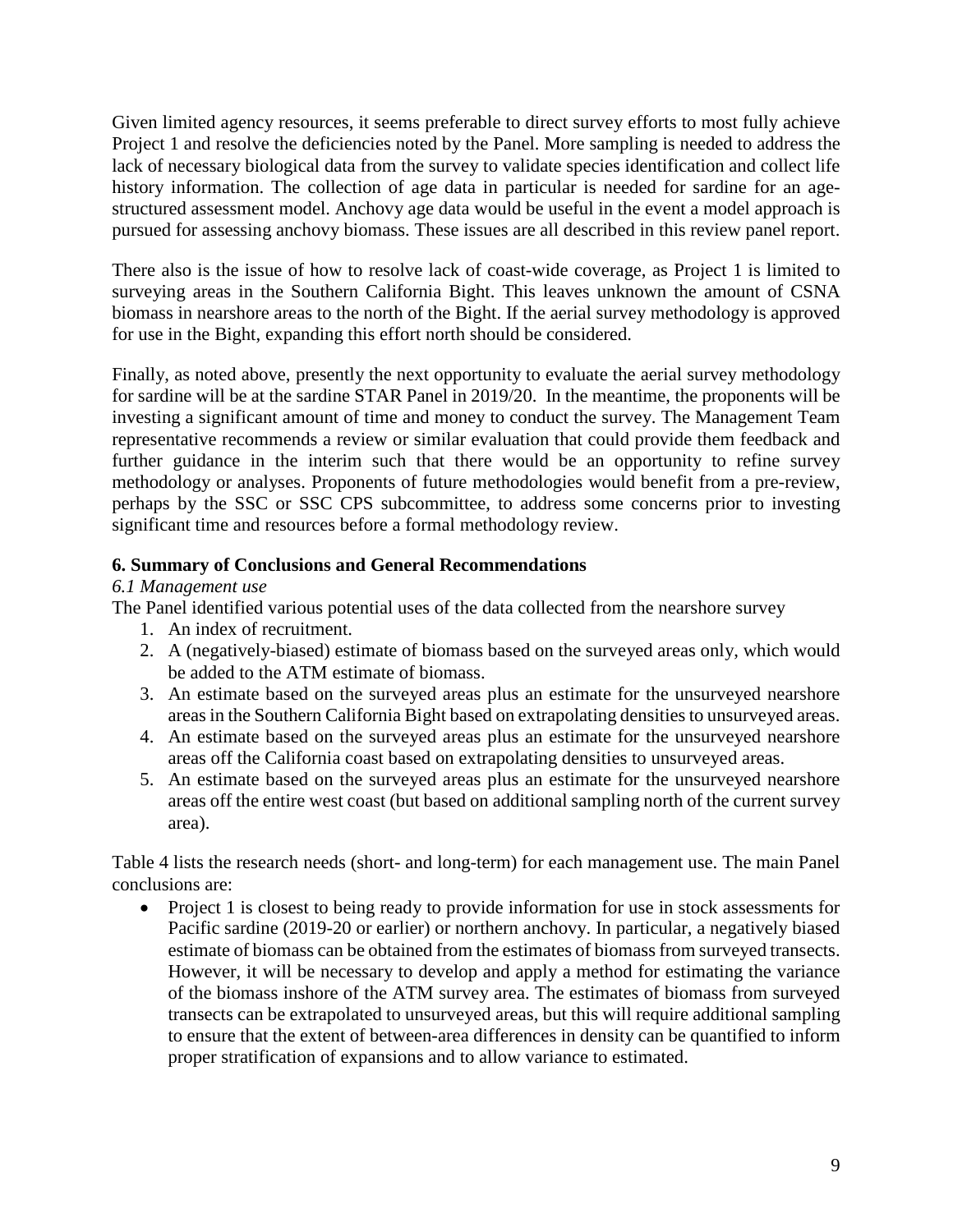Given limited agency resources, it seems preferable to direct survey efforts to most fully achieve Project 1 and resolve the deficiencies noted by the Panel. More sampling is needed to address the lack of necessary biological data from the survey to validate species identification and collect life history information. The collection of age data in particular is needed for sardine for an agestructured assessment model. Anchovy age data would be useful in the event a model approach is pursued for assessing anchovy biomass. These issues are all described in this review panel report.

There also is the issue of how to resolve lack of coast-wide coverage, as Project 1 is limited to surveying areas in the Southern California Bight. This leaves unknown the amount of CSNA biomass in nearshore areas to the north of the Bight. If the aerial survey methodology is approved for use in the Bight, expanding this effort north should be considered.

Finally, as noted above, presently the next opportunity to evaluate the aerial survey methodology for sardine will be at the sardine STAR Panel in 2019/20. In the meantime, the proponents will be investing a significant amount of time and money to conduct the survey. The Management Team representative recommends a review or similar evaluation that could provide them feedback and further guidance in the interim such that there would be an opportunity to refine survey methodology or analyses. Proponents of future methodologies would benefit from a pre-review, perhaps by the SSC or SSC CPS subcommittee, to address some concerns prior to investing significant time and resources before a formal methodology review.

# **6. Summary of Conclusions and General Recommendations**

*6.1 Management use*

The Panel identified various potential uses of the data collected from the nearshore survey

- 1. An index of recruitment.
- 2. A (negatively-biased) estimate of biomass based on the surveyed areas only, which would be added to the ATM estimate of biomass.
- 3. An estimate based on the surveyed areas plus an estimate for the unsurveyed nearshore areas in the Southern California Bight based on extrapolating densities to unsurveyed areas.
- 4. An estimate based on the surveyed areas plus an estimate for the unsurveyed nearshore areas off the California coast based on extrapolating densities to unsurveyed areas.
- 5. An estimate based on the surveyed areas plus an estimate for the unsurveyed nearshore areas off the entire west coast (but based on additional sampling north of the current survey area).

Table 4 lists the research needs (short- and long-term) for each management use. The main Panel conclusions are:

• Project 1 is closest to being ready to provide information for use in stock assessments for Pacific sardine (2019-20 or earlier) or northern anchovy. In particular, a negatively biased estimate of biomass can be obtained from the estimates of biomass from surveyed transects. However, it will be necessary to develop and apply a method for estimating the variance of the biomass inshore of the ATM survey area. The estimates of biomass from surveyed transects can be extrapolated to unsurveyed areas, but this will require additional sampling to ensure that the extent of between-area differences in density can be quantified to inform proper stratification of expansions and to allow variance to estimated.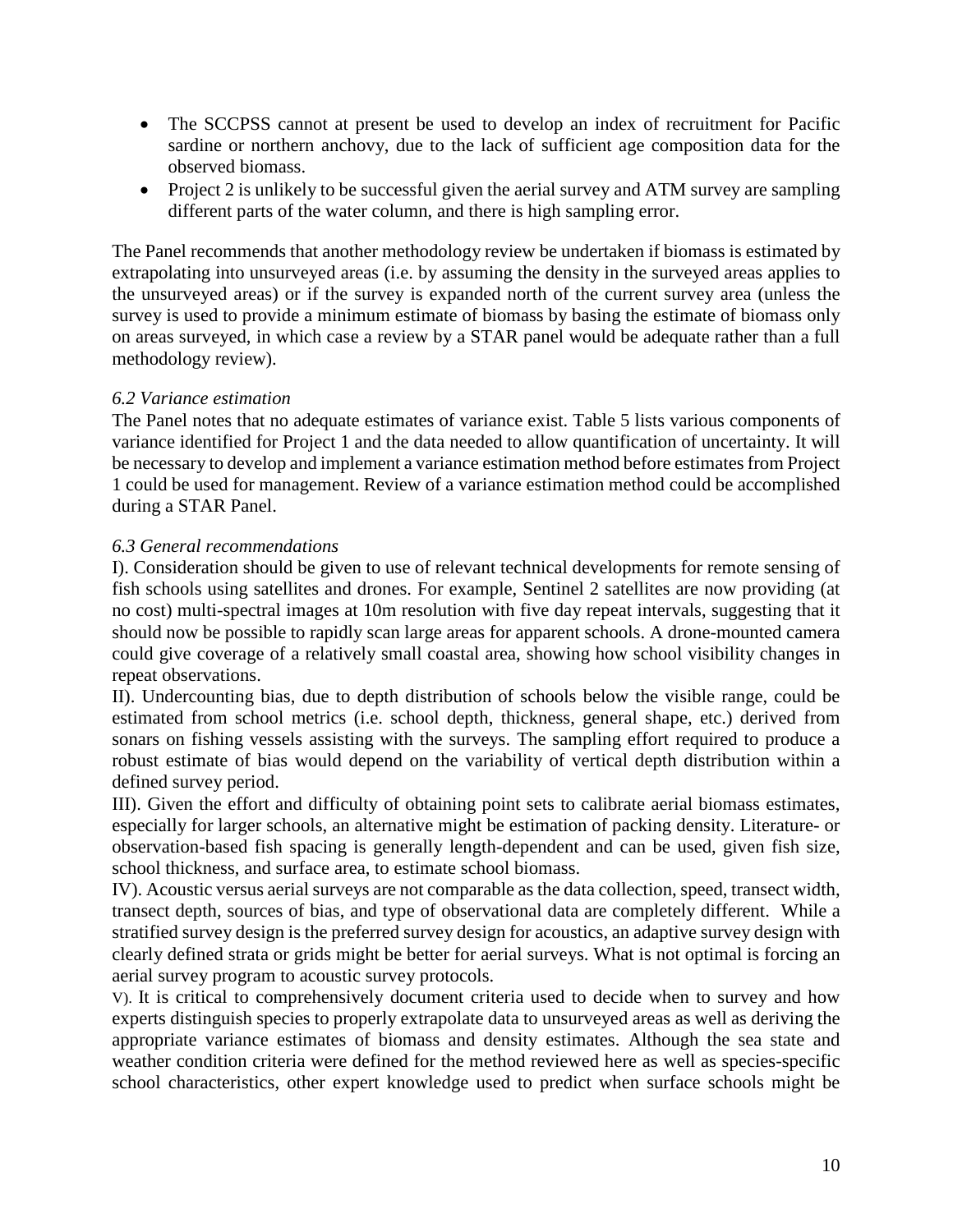- The SCCPSS cannot at present be used to develop an index of recruitment for Pacific sardine or northern anchovy, due to the lack of sufficient age composition data for the observed biomass.
- Project 2 is unlikely to be successful given the aerial survey and ATM survey are sampling different parts of the water column, and there is high sampling error.

The Panel recommends that another methodology review be undertaken if biomass is estimated by extrapolating into unsurveyed areas (i.e. by assuming the density in the surveyed areas applies to the unsurveyed areas) or if the survey is expanded north of the current survey area (unless the survey is used to provide a minimum estimate of biomass by basing the estimate of biomass only on areas surveyed, in which case a review by a STAR panel would be adequate rather than a full methodology review).

# *6.2 Variance estimation*

The Panel notes that no adequate estimates of variance exist. Table 5 lists various components of variance identified for Project 1 and the data needed to allow quantification of uncertainty. It will be necessary to develop and implement a variance estimation method before estimates from Project 1 could be used for management. Review of a variance estimation method could be accomplished during a STAR Panel.

# *6.3 General recommendations*

I). Consideration should be given to use of relevant technical developments for remote sensing of fish schools using satellites and drones. For example, Sentinel 2 satellites are now providing (at no cost) multi-spectral images at 10m resolution with five day repeat intervals, suggesting that it should now be possible to rapidly scan large areas for apparent schools. A drone-mounted camera could give coverage of a relatively small coastal area, showing how school visibility changes in repeat observations.

II). Undercounting bias, due to depth distribution of schools below the visible range, could be estimated from school metrics (i.e. school depth, thickness, general shape, etc.) derived from sonars on fishing vessels assisting with the surveys. The sampling effort required to produce a robust estimate of bias would depend on the variability of vertical depth distribution within a defined survey period.

III). Given the effort and difficulty of obtaining point sets to calibrate aerial biomass estimates, especially for larger schools, an alternative might be estimation of packing density. Literature- or observation-based fish spacing is generally length-dependent and can be used, given fish size, school thickness, and surface area, to estimate school biomass.

IV). Acoustic versus aerial surveys are not comparable as the data collection, speed, transect width, transect depth, sources of bias, and type of observational data are completely different. While a stratified survey design is the preferred survey design for acoustics, an adaptive survey design with clearly defined strata or grids might be better for aerial surveys. What is not optimal is forcing an aerial survey program to acoustic survey protocols.

V). It is critical to comprehensively document criteria used to decide when to survey and how experts distinguish species to properly extrapolate data to unsurveyed areas as well as deriving the appropriate variance estimates of biomass and density estimates. Although the sea state and weather condition criteria were defined for the method reviewed here as well as species-specific school characteristics, other expert knowledge used to predict when surface schools might be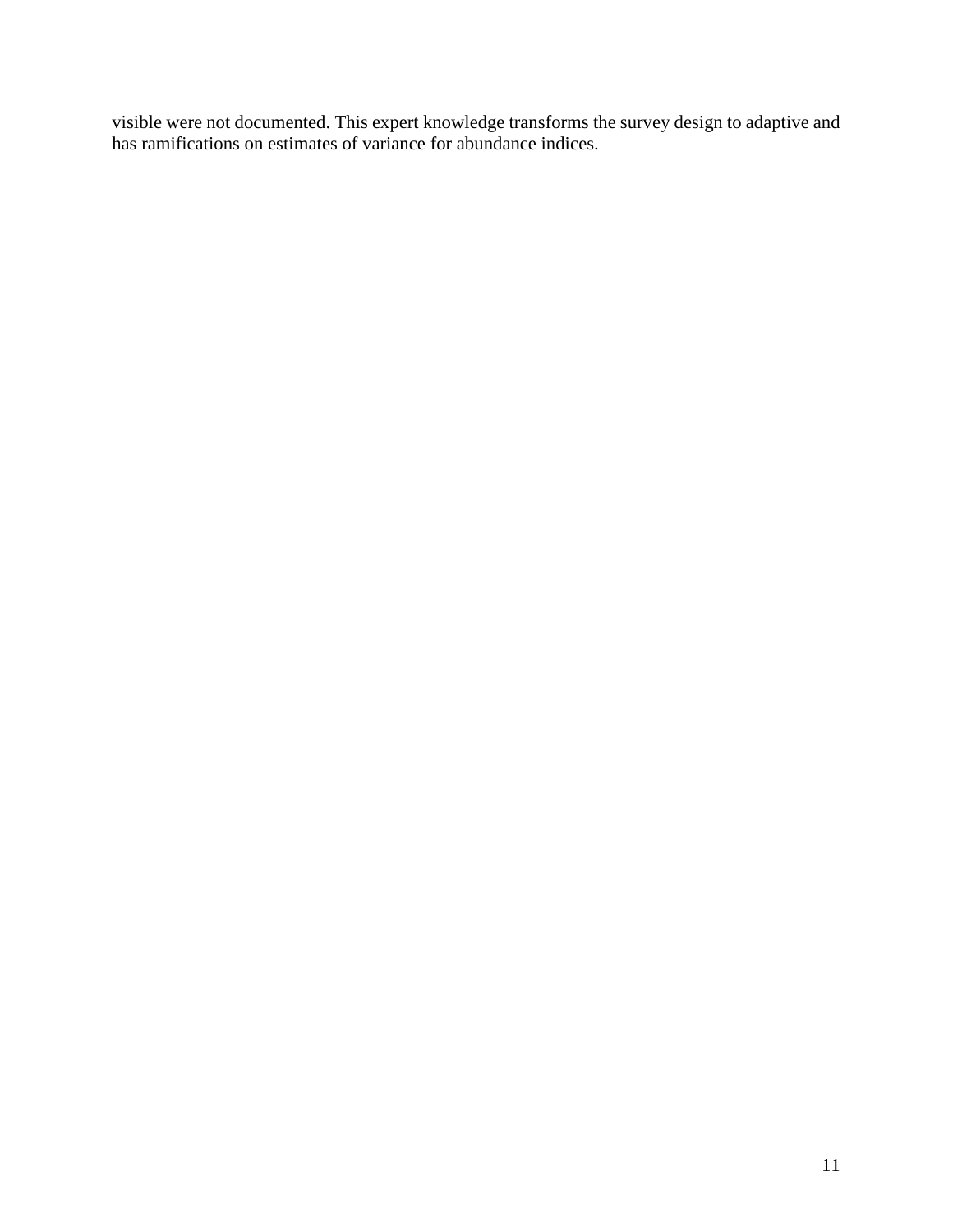visible were not documented. This expert knowledge transforms the survey design to adaptive and has ramifications on estimates of variance for abundance indices.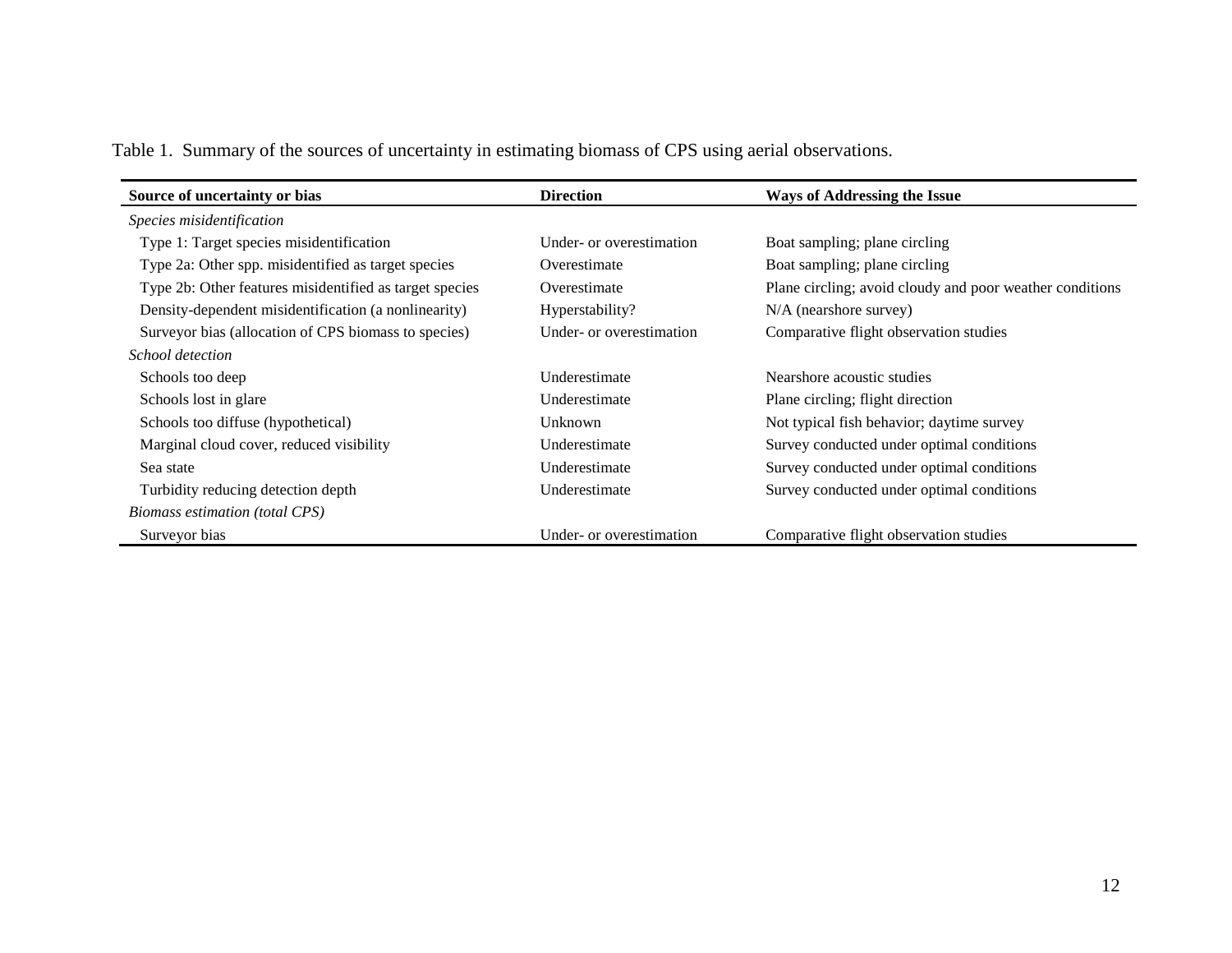Table 1. Summary of the sources of uncertainty in estimating biomass of CPS using aerial observations.

| Source of uncertainty or bias                           | <b>Direction</b>         | <b>Ways of Addressing the Issue</b>                      |
|---------------------------------------------------------|--------------------------|----------------------------------------------------------|
| Species misidentification                               |                          |                                                          |
| Type 1: Target species misidentification                | Under- or overestimation | Boat sampling; plane circling                            |
| Type 2a: Other spp. misidentified as target species     | Overestimate             | Boat sampling; plane circling                            |
| Type 2b: Other features misidentified as target species | Overestimate             | Plane circling; avoid cloudy and poor weather conditions |
| Density-dependent misidentification (a nonlinearity)    | Hyperstability?          | $N/A$ (nearshore survey)                                 |
| Surveyor bias (allocation of CPS biomass to species)    | Under- or overestimation | Comparative flight observation studies                   |
| School detection                                        |                          |                                                          |
| Schools too deep                                        | Underestimate            | Nearshore acoustic studies                               |
| Schools lost in glare                                   | Underestimate            | Plane circling; flight direction                         |
| Schools too diffuse (hypothetical)                      | Unknown                  | Not typical fish behavior; daytime survey                |
| Marginal cloud cover, reduced visibility                | Underestimate            | Survey conducted under optimal conditions                |
| Sea state                                               | Underestimate            | Survey conducted under optimal conditions                |
| Turbidity reducing detection depth                      | Underestimate            | Survey conducted under optimal conditions                |
| Biomass estimation (total CPS)                          |                          |                                                          |
| Surveyor bias                                           | Under- or overestimation | Comparative flight observation studies                   |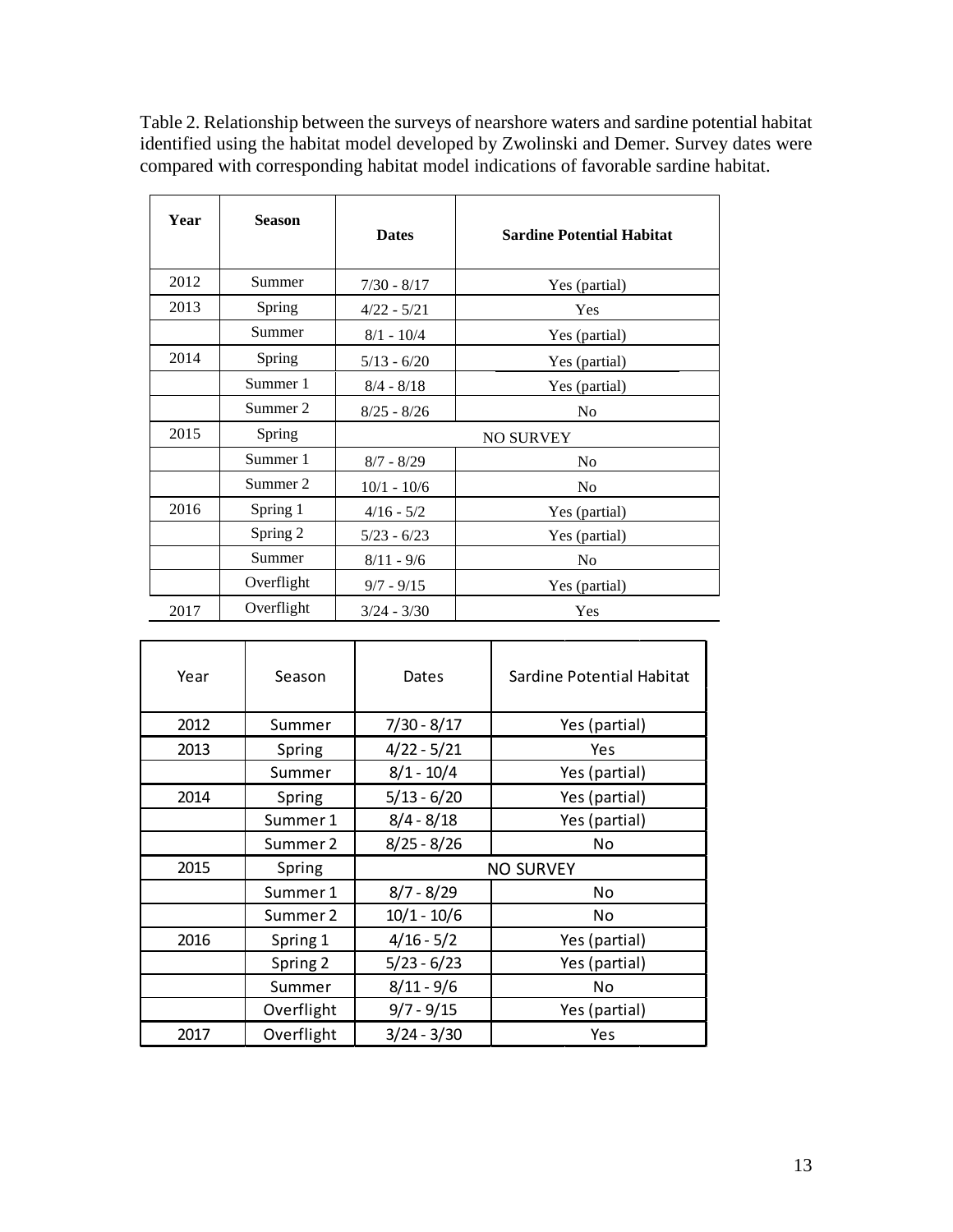| Year | <b>Season</b> | <b>Dates</b>     | <b>Sardine Potential Habitat</b> |  |
|------|---------------|------------------|----------------------------------|--|
| 2012 | Summer        | $7/30 - 8/17$    | Yes (partial)                    |  |
| 2013 | Spring        | $4/22 - 5/21$    | Yes                              |  |
|      | Summer        | $8/1 - 10/4$     | Yes (partial)                    |  |
| 2014 | Spring        | $5/13 - 6/20$    | Yes (partial)                    |  |
|      | Summer 1      | $8/4 - 8/18$     | Yes (partial)                    |  |
|      | Summer 2      | $8/25 - 8/26$    | N <sub>0</sub>                   |  |
| 2015 | Spring        | <b>NO SURVEY</b> |                                  |  |
|      | Summer 1      | $8/7 - 8/29$     | No                               |  |
|      | Summer 2      | $10/1 - 10/6$    | N <sub>0</sub>                   |  |
| 2016 | Spring 1      | $4/16 - 5/2$     | Yes (partial)                    |  |
|      | Spring 2      | $5/23 - 6/23$    | Yes (partial)                    |  |
|      | Summer        | $8/11 - 9/6$     | N <sub>0</sub>                   |  |
|      | Overflight    | $9/7 - 9/15$     | Yes (partial)                    |  |
| 2017 | Overflight    | $3/24 - 3/30$    | Yes                              |  |

Table 2. Relationship between the surveys of nearshore waters and sardine potential habitat identified using the habitat model developed by Zwolinski and Demer. Survey dates were compared with corresponding habitat model indications of favorable sardine habitat.

| Year | Season     | Dates            | Sardine Potential Habitat |  |
|------|------------|------------------|---------------------------|--|
| 2012 | Summer     | $7/30 - 8/17$    | Yes (partial)             |  |
| 2013 | Spring     | $4/22 - 5/21$    | Yes                       |  |
|      | Summer     | $8/1 - 10/4$     | Yes (partial)             |  |
| 2014 | Spring     | $5/13 - 6/20$    | Yes (partial)             |  |
|      | Summer 1   | $8/4 - 8/18$     | Yes (partial)             |  |
|      | Summer 2   | $8/25 - 8/26$    | No.                       |  |
| 2015 | Spring     | <b>NO SURVEY</b> |                           |  |
|      | Summer 1   | $8/7 - 8/29$     | No.                       |  |
|      | Summer 2   | $10/1 - 10/6$    | No.                       |  |
| 2016 | Spring 1   | $4/16 - 5/2$     | Yes (partial)             |  |
|      | Spring 2   | $5/23 - 6/23$    | Yes (partial)             |  |
|      | Summer     | $8/11 - 9/6$     | No.                       |  |
|      | Overflight | $9/7 - 9/15$     | Yes (partial)             |  |
| 2017 | Overflight | $3/24 - 3/30$    | Yes                       |  |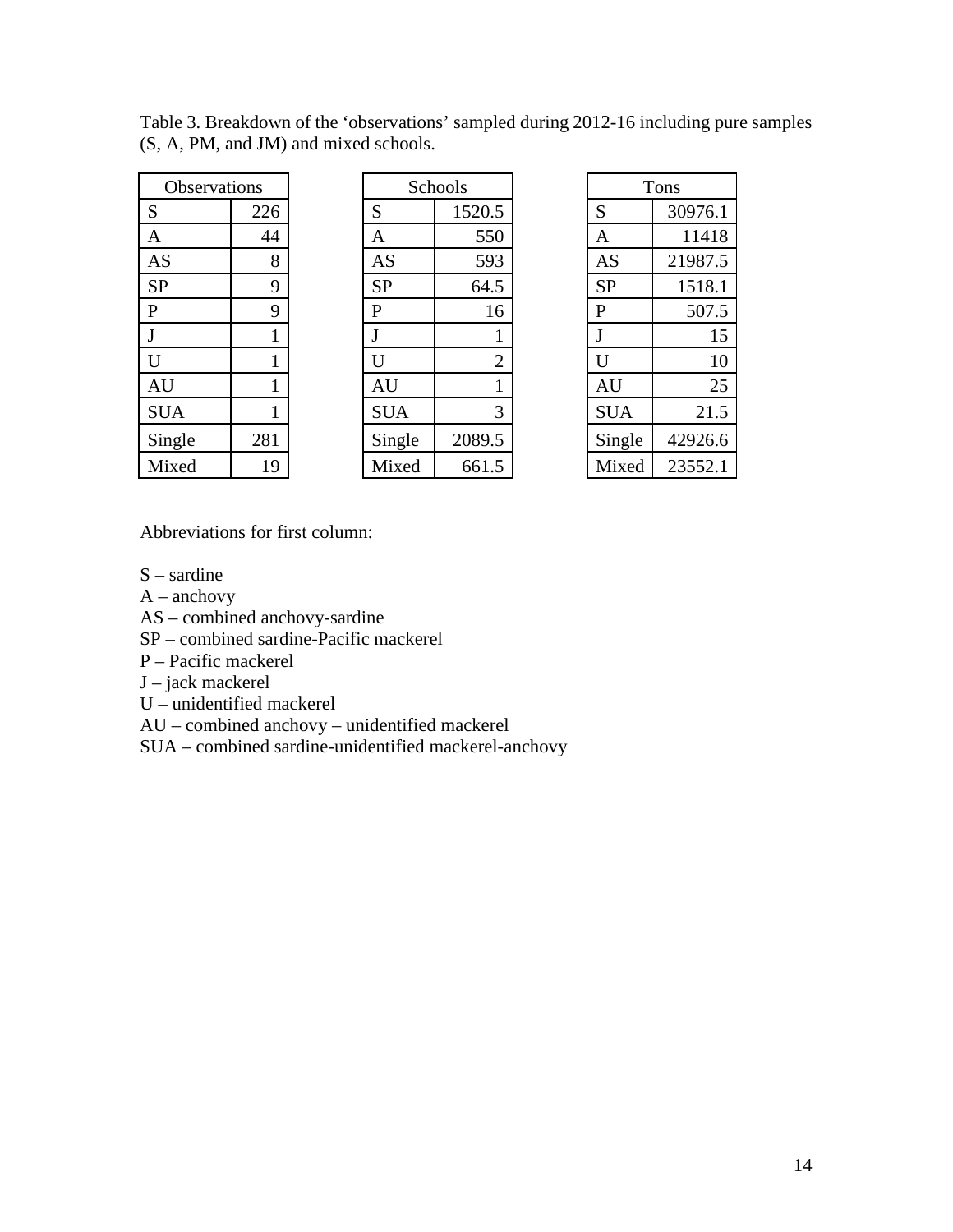| Observations   |     |  |  |
|----------------|-----|--|--|
| S              | 226 |  |  |
| $\mathbf{A}$   | 44  |  |  |
| AS             | 8   |  |  |
| <b>SP</b>      | 9   |  |  |
| $\overline{P}$ | 9   |  |  |
| J              | 1   |  |  |
| U              | 1   |  |  |
| AU             | 1   |  |  |
| <b>SUA</b>     | 1   |  |  |
| Single         | 281 |  |  |
| Mixed          | 19  |  |  |

Table 3. Breakdown of the 'observations' sampled during 2012-16 including pure samples (S, A, PM, and JM) and mixed schools.

| Observations |     | Schools        |                | Tons           |         |
|--------------|-----|----------------|----------------|----------------|---------|
| S            | 226 | S              | 1520.5         | S              | 30976.1 |
| A            | 44  | A              | 550            | A              | 11418   |
| AS           | 8   | <b>AS</b>      | 593            | AS             | 21987.5 |
| SP           | 9   | <b>SP</b>      | 64.5           | <b>SP</b>      | 1518.1  |
| P            | 9   | P              | 16             | P              | 507.5   |
|              |     |                |                | J              | 15      |
| Ù            | 1   | $\overline{U}$ | $\overline{2}$ | $\overline{U}$ | 10      |
| AU           |     | <b>AU</b>      |                | <b>AU</b>      | 25      |
| <b>SUA</b>   |     | <b>SUA</b>     | 3              | <b>SUA</b>     | 21.5    |
| Single       | 281 | Single         | 2089.5         | Single         | 42926.6 |
| Mixed        | 19  | Mixed          | 661.5          | Mixed          | 23552.1 |

Abbreviations for first column:

S – sardine

 $A$  – anchovy

AS – combined anchovy-sardine

SP – combined sardine-Pacific mackerel

P – Pacific mackerel

J – jack mackerel

U – unidentified mackerel

AU – combined anchovy – unidentified mackerel

SUA – combined sardine-unidentified mackerel-anchovy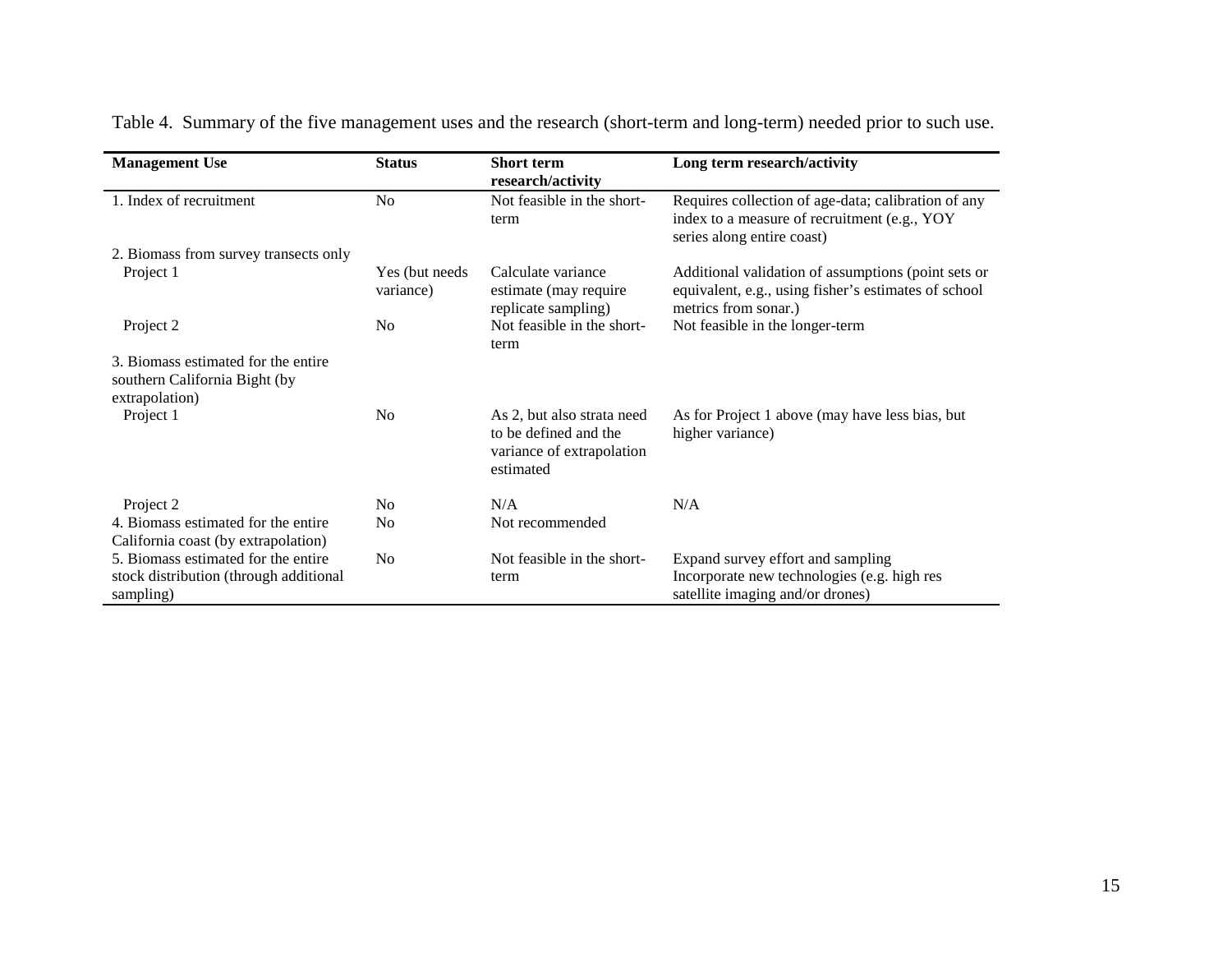| <b>Management Use</b>                                                                      | <b>Status</b>                | <b>Short term</b><br>research/activity                                                        | Long term research/activity                                                                                                         |
|--------------------------------------------------------------------------------------------|------------------------------|-----------------------------------------------------------------------------------------------|-------------------------------------------------------------------------------------------------------------------------------------|
| 1. Index of recruitment                                                                    | N <sub>o</sub>               | Not feasible in the short-<br>term                                                            | Requires collection of age-data; calibration of any<br>index to a measure of recruitment (e.g., YOY<br>series along entire coast)   |
| 2. Biomass from survey transects only                                                      |                              |                                                                                               |                                                                                                                                     |
| Project 1                                                                                  | Yes (but needs)<br>variance) | Calculate variance<br>estimate (may require<br>replicate sampling)                            | Additional validation of assumptions (point sets or<br>equivalent, e.g., using fisher's estimates of school<br>metrics from sonar.) |
| Project 2                                                                                  | N <sub>0</sub>               | Not feasible in the short-<br>term                                                            | Not feasible in the longer-term                                                                                                     |
| 3. Biomass estimated for the entire<br>southern California Bight (by<br>extrapolation)     |                              |                                                                                               |                                                                                                                                     |
| Project 1                                                                                  | N <sub>0</sub>               | As 2, but also strata need<br>to be defined and the<br>variance of extrapolation<br>estimated | As for Project 1 above (may have less bias, but<br>higher variance)                                                                 |
| Project 2                                                                                  | No                           | N/A                                                                                           | N/A                                                                                                                                 |
| 4. Biomass estimated for the entire<br>California coast (by extrapolation)                 | No                           | Not recommended                                                                               |                                                                                                                                     |
| 5. Biomass estimated for the entire<br>stock distribution (through additional<br>sampling) | N <sub>0</sub>               | Not feasible in the short-<br>term                                                            | Expand survey effort and sampling<br>Incorporate new technologies (e.g. high res<br>satellite imaging and/or drones)                |

Table 4. Summary of the five management uses and the research (short-term and long-term) needed prior to such use.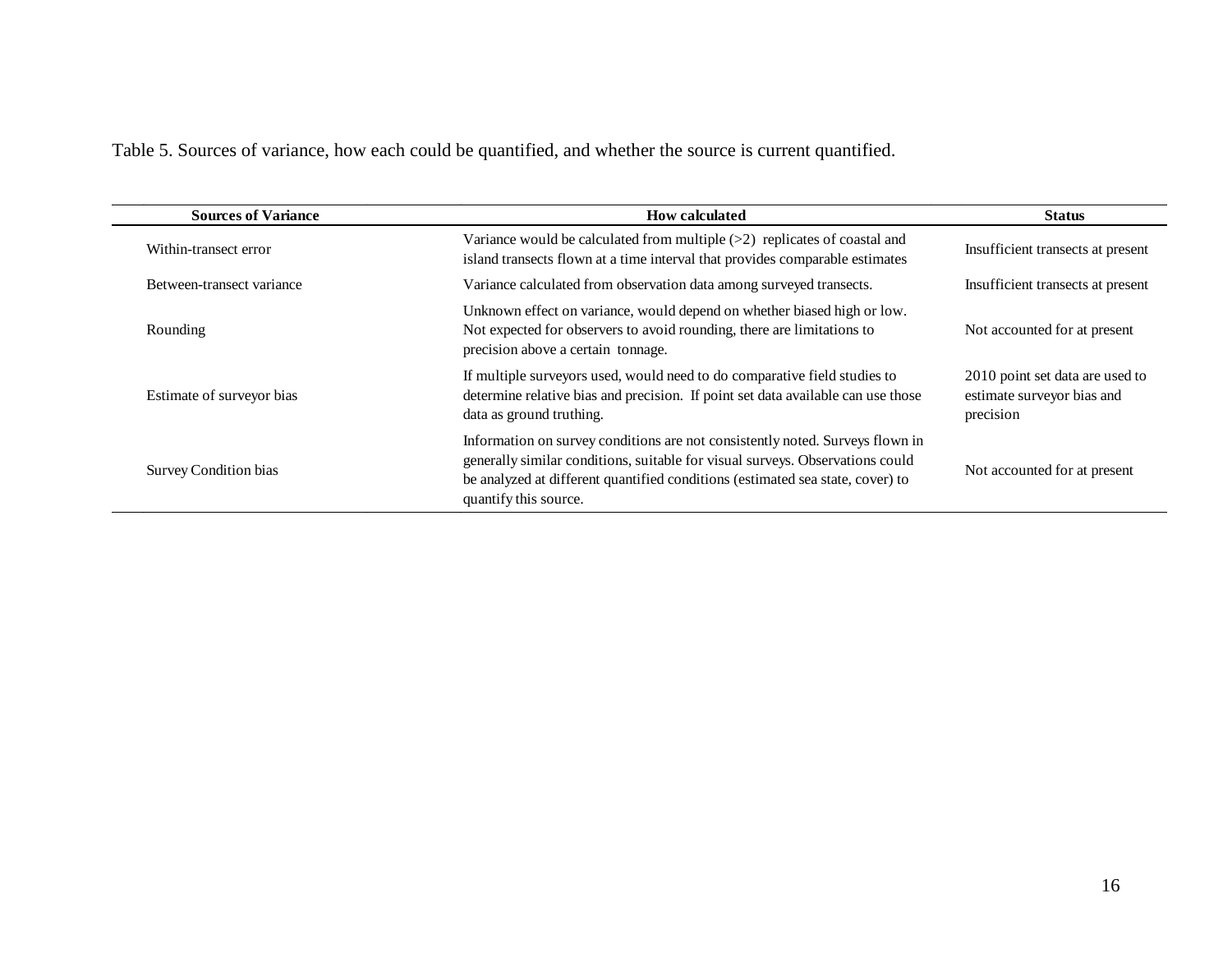Table 5. Sources of variance, how each could be quantified, and whether the source is current quantified.

| <b>Sources of Variance</b> | <b>How calculated</b>                                                                                                                                                                                                                                                     | <b>Status</b>                                                              |
|----------------------------|---------------------------------------------------------------------------------------------------------------------------------------------------------------------------------------------------------------------------------------------------------------------------|----------------------------------------------------------------------------|
| Within-transect error      | Variance would be calculated from multiple $(>2)$ replicates of coastal and<br>island transects flown at a time interval that provides comparable estimates                                                                                                               | Insufficient transects at present                                          |
| Between-transect variance  | Variance calculated from observation data among surveyed transects.                                                                                                                                                                                                       | Insufficient transects at present                                          |
| Rounding                   | Unknown effect on variance, would depend on whether biased high or low.<br>Not expected for observers to avoid rounding, there are limitations to<br>precision above a certain tonnage.                                                                                   | Not accounted for at present                                               |
| Estimate of surveyor bias  | If multiple surveyors used, would need to do comparative field studies to<br>determine relative bias and precision. If point set data available can use those<br>data as ground truthing.                                                                                 | 2010 point set data are used to<br>estimate surveyor bias and<br>precision |
| Survey Condition bias      | Information on survey conditions are not consistently noted. Surveys flown in<br>generally similar conditions, suitable for visual surveys. Observations could<br>be analyzed at different quantified conditions (estimated sea state, cover) to<br>quantify this source. | Not accounted for at present                                               |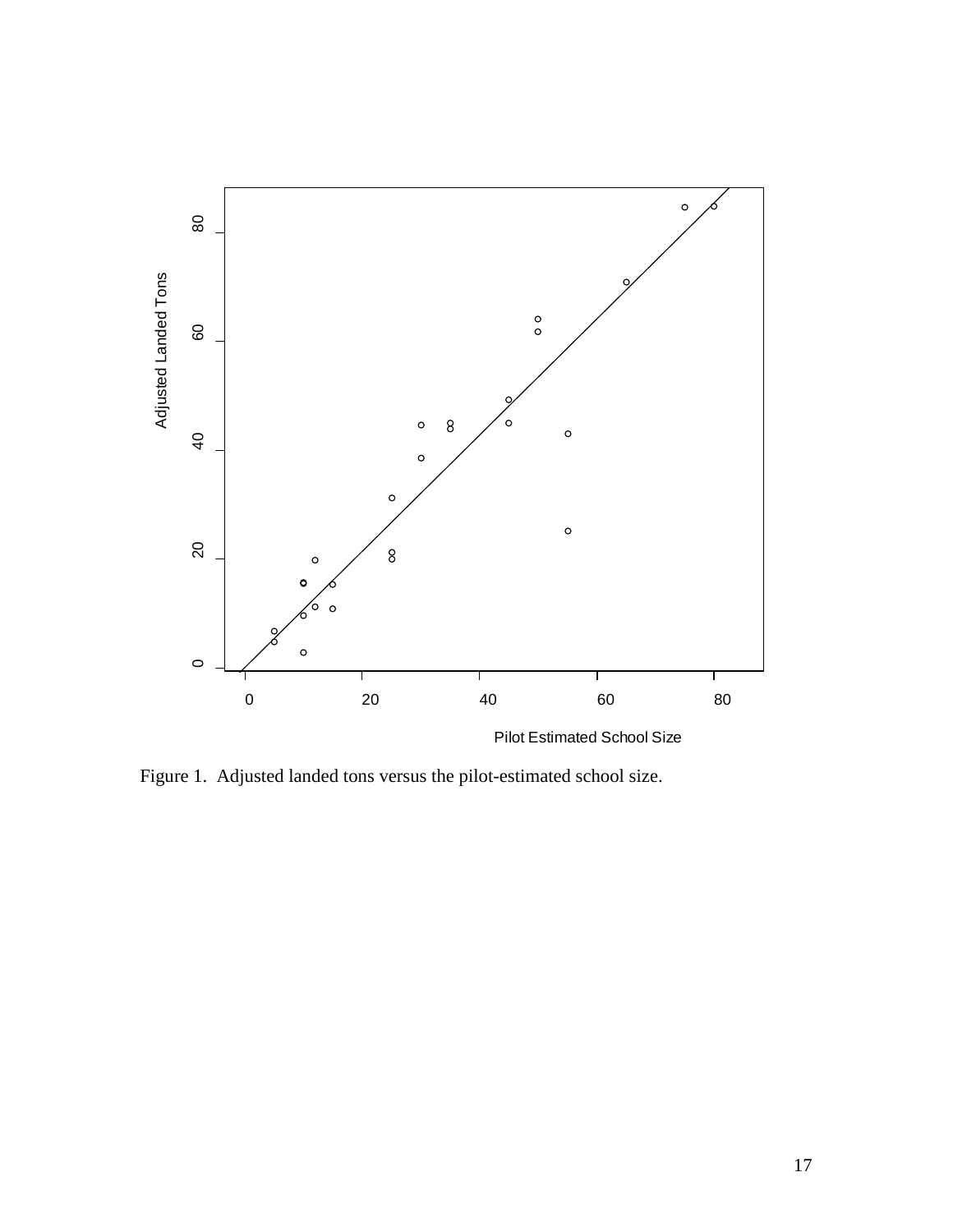

Figure 1. Adjusted landed tons versus the pilot-estimated school size.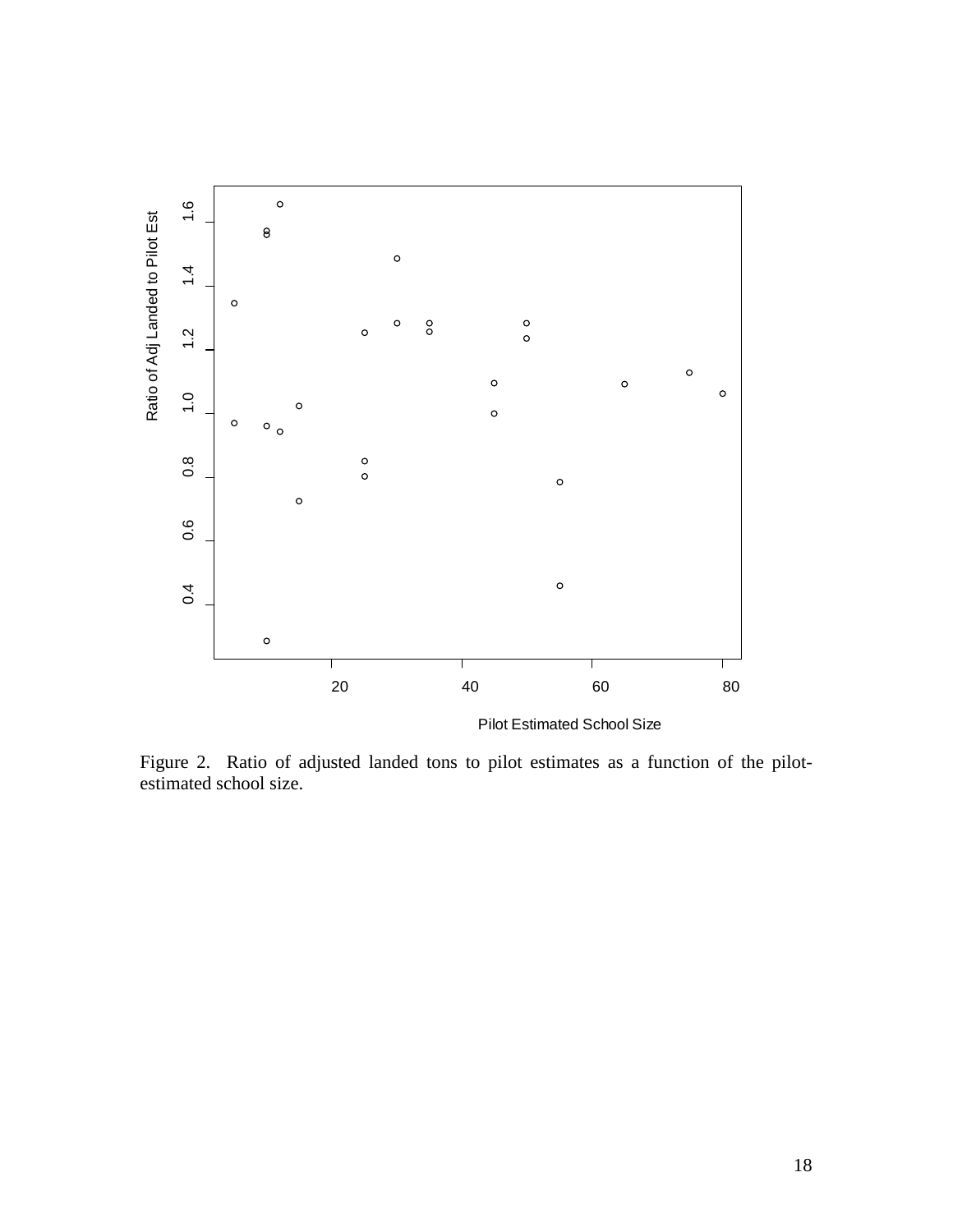

Pilot Estimated School Size

Figure 2. Ratio of adjusted landed tons to pilot estimates as a function of the pilotestimated school size.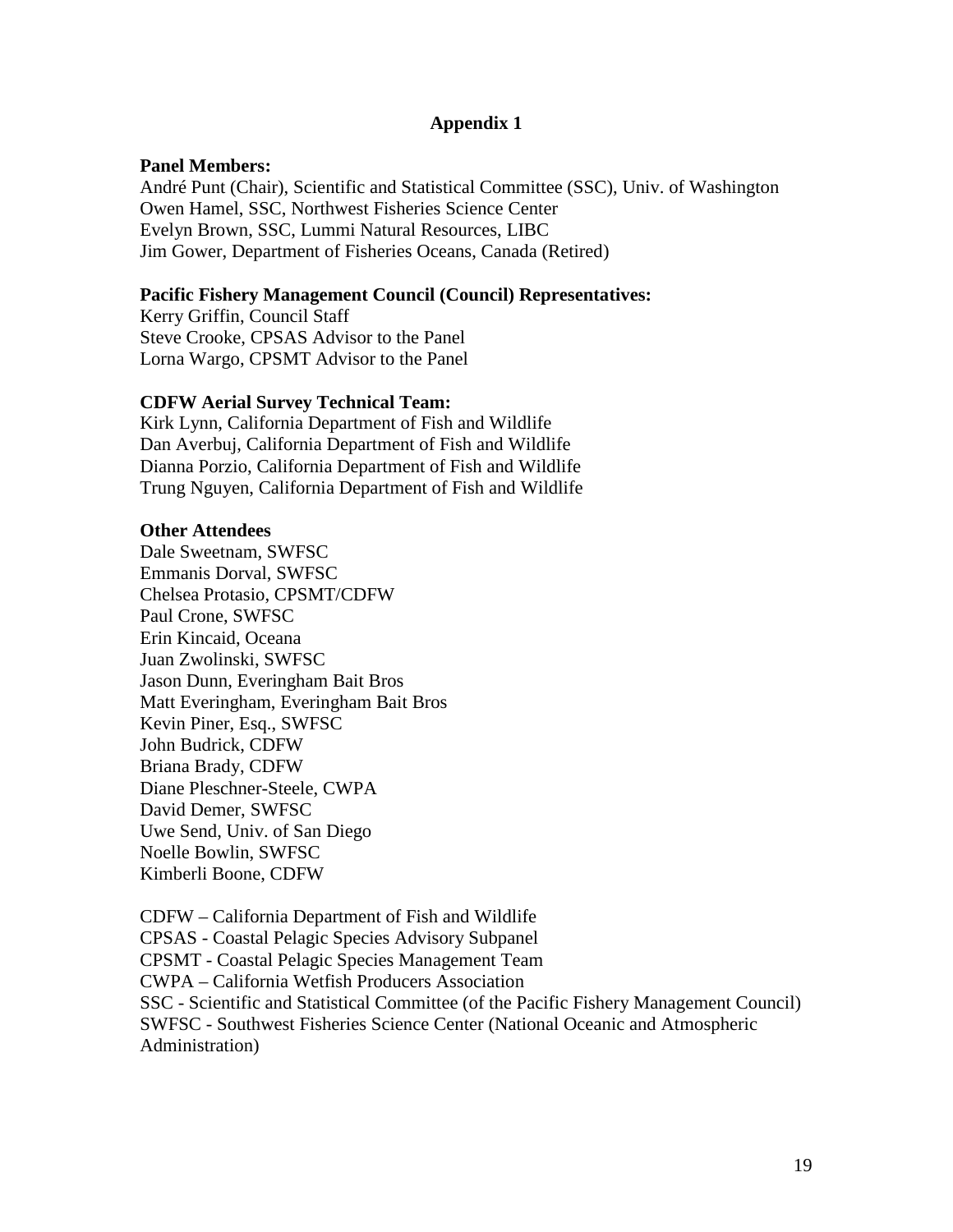# **Appendix 1**

#### **Panel Members:**

André Punt (Chair), Scientific and Statistical Committee (SSC), Univ. of Washington Owen Hamel, SSC, Northwest Fisheries Science Center Evelyn Brown, SSC, Lummi Natural Resources, LIBC Jim Gower, Department of Fisheries Oceans, Canada (Retired)

#### **Pacific Fishery Management Council (Council) Representatives:**

Kerry Griffin, Council Staff Steve Crooke, CPSAS Advisor to the Panel Lorna Wargo, CPSMT Advisor to the Panel

#### **CDFW Aerial Survey Technical Team:**

Kirk Lynn, California Department of Fish and Wildlife Dan Averbuj, California Department of Fish and Wildlife Dianna Porzio, California Department of Fish and Wildlife Trung Nguyen, California Department of Fish and Wildlife

#### **Other Attendees**

Dale Sweetnam, SWFSC Emmanis Dorval, SWFSC Chelsea Protasio, CPSMT/CDFW Paul Crone, SWFSC Erin Kincaid, Oceana Juan Zwolinski, SWFSC Jason Dunn, Everingham Bait Bros Matt Everingham, Everingham Bait Bros Kevin Piner, Esq., SWFSC John Budrick, CDFW Briana Brady, CDFW Diane Pleschner-Steele, CWPA David Demer, SWFSC Uwe Send, Univ. of San Diego Noelle Bowlin, SWFSC Kimberli Boone, CDFW

CDFW – California Department of Fish and Wildlife CPSAS - Coastal Pelagic Species Advisory Subpanel CPSMT - Coastal Pelagic Species Management Team CWPA – California Wetfish Producers Association SSC - Scientific and Statistical Committee (of the Pacific Fishery Management Council) SWFSC - Southwest Fisheries Science Center (National Oceanic and Atmospheric Administration)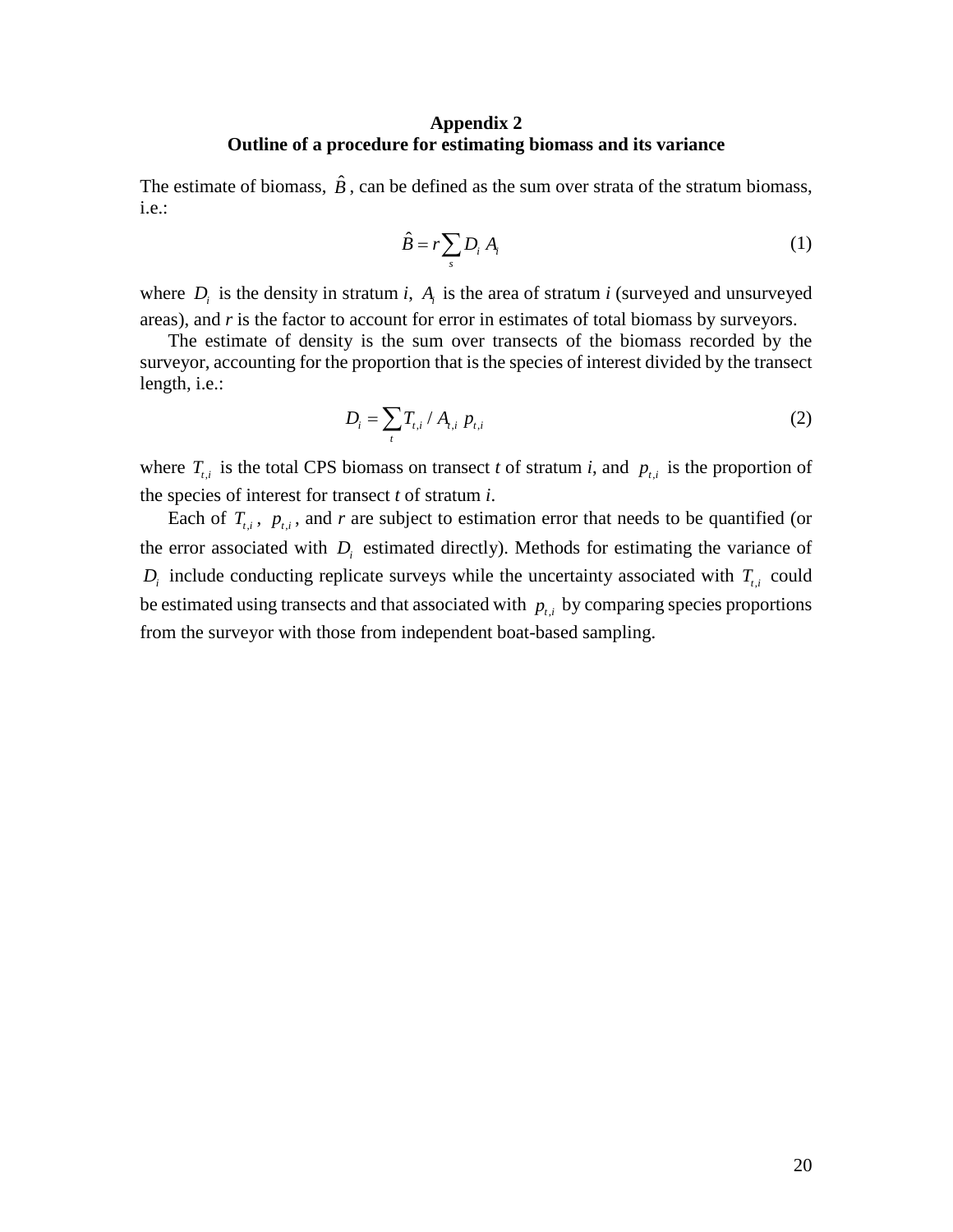#### **Appendix 2 Outline of a procedure for estimating biomass and its variance**

The estimate of biomass,  $\hat{B}$ , can be defined as the sum over strata of the stratum biomass, i.e.:

$$
\hat{B} = r \sum_{s} D_i A_i \tag{1}
$$

where  $D_i$  is the density in stratum *i*,  $A_i$  is the area of stratum *i* (surveyed and unsurveyed areas), and *r* is the factor to account for error in estimates of total biomass by surveyors.

The estimate of density is the sum over transects of the biomass recorded by the surveyor, accounting for the proportion that is the species of interest divided by the transect length, i.e.:

$$
D_i = \sum_t T_{t,i} / A_{t,i} \ p_{t,i} \tag{2}
$$

where  $T_{t,i}$  is the total CPS biomass on transect *t* of stratum *i*, and  $p_{t,i}$  is the proportion of the species of interest for transect *t* of stratum *i*.

Each of  $T_{i,i}$ ,  $p_{i,i}$ , and *r* are subject to estimation error that needs to be quantified (or the error associated with  $D_i$  estimated directly). Methods for estimating the variance of  $D_i$  include conducting replicate surveys while the uncertainty associated with  $T_{i,i}$  could be estimated using transects and that associated with  $p_{i}$  by comparing species proportions from the surveyor with those from independent boat-based sampling.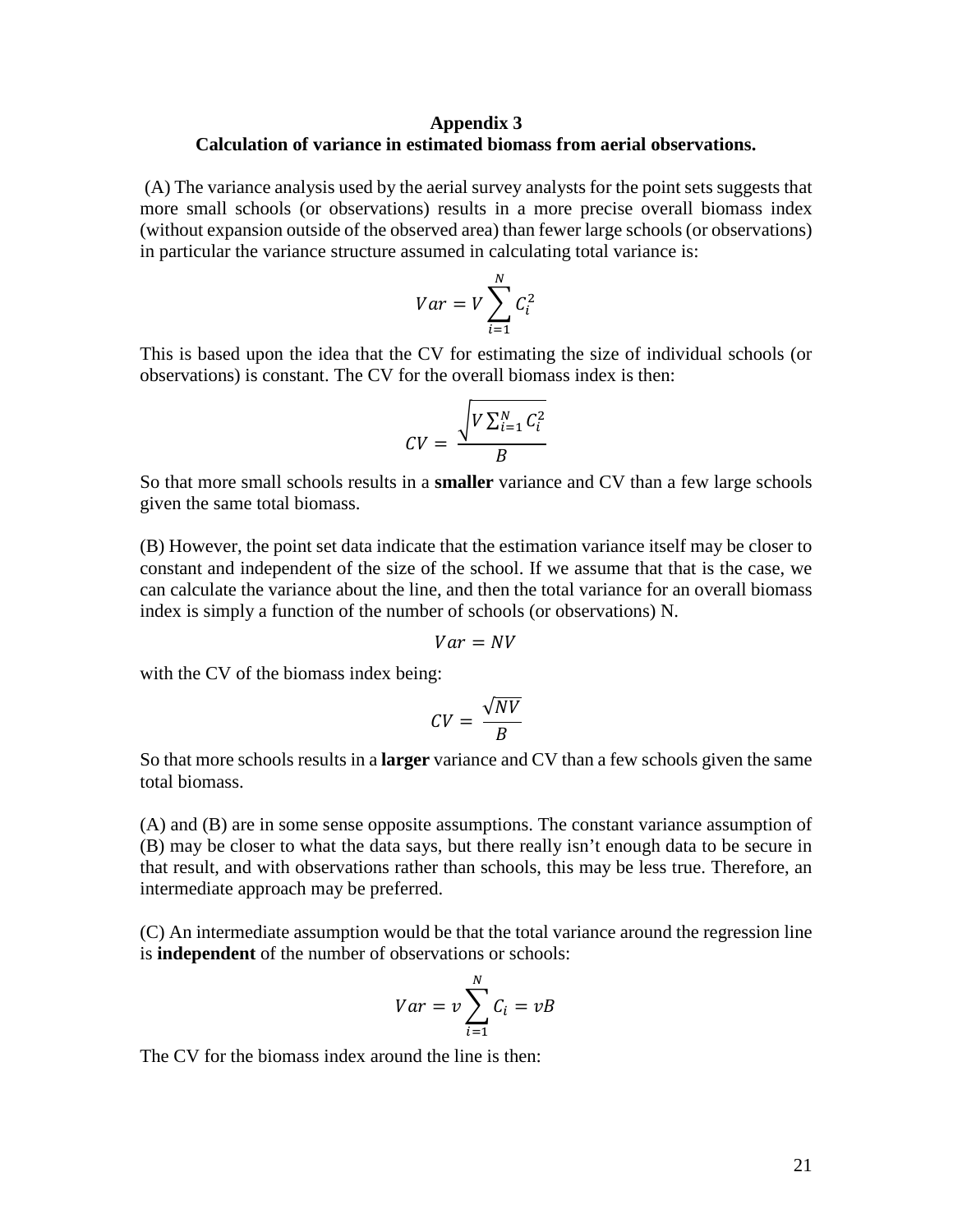#### **Appendix 3 Calculation of variance in estimated biomass from aerial observations.**

(A) The variance analysis used by the aerial survey analysts for the point sets suggests that more small schools (or observations) results in a more precise overall biomass index (without expansion outside of the observed area) than fewer large schools (or observations) in particular the variance structure assumed in calculating total variance is:

$$
Var = V \sum_{i=1}^{N} C_i^2
$$

This is based upon the idea that the CV for estimating the size of individual schools (or observations) is constant. The CV for the overall biomass index is then:

$$
CV = \frac{\sqrt{V \sum_{i=1}^{N} C_i^2}}{B}
$$

So that more small schools results in a **smaller** variance and CV than a few large schools given the same total biomass.

(B) However, the point set data indicate that the estimation variance itself may be closer to constant and independent of the size of the school. If we assume that that is the case, we can calculate the variance about the line, and then the total variance for an overall biomass index is simply a function of the number of schools (or observations) N.

$$
Var = NV
$$

with the CV of the biomass index being:

$$
CV = \frac{\sqrt{NV}}{B}
$$

So that more schools results in a **larger** variance and CV than a few schools given the same total biomass.

(A) and (B) are in some sense opposite assumptions. The constant variance assumption of (B) may be closer to what the data says, but there really isn't enough data to be secure in that result, and with observations rather than schools, this may be less true. Therefore, an intermediate approach may be preferred.

(C) An intermediate assumption would be that the total variance around the regression line is **independent** of the number of observations or schools:

$$
Var = v \sum_{i=1}^{N} C_i = vB
$$

The CV for the biomass index around the line is then: